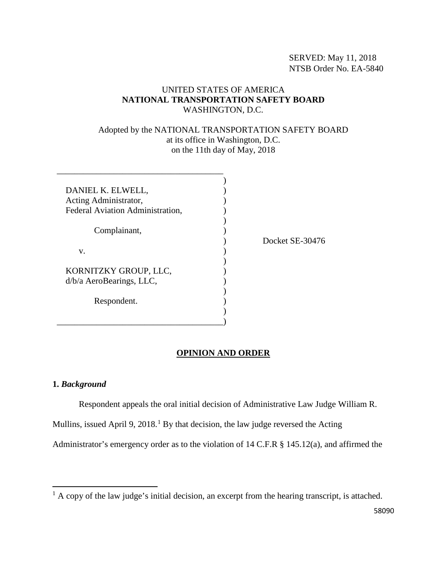SERVED: May 11, 2018 NTSB Order No. EA-5840

# UNITED STATES OF AMERICA **NATIONAL TRANSPORTATION SAFETY BOARD** WASHINGTON, D.C.

## Adopted by the NATIONAL TRANSPORTATION SAFETY BOARD at its office in Washington, D.C. on the 11th day of May, 2018

| DANIEL K. ELWELL,<br>Acting Administrator,<br>Federal Aviation Administration, |  |
|--------------------------------------------------------------------------------|--|
| Complainant,                                                                   |  |
| V.                                                                             |  |
| KORNITZKY GROUP, LLC,<br>d/b/a AeroBearings, LLC,                              |  |
| Respondent.                                                                    |  |
|                                                                                |  |

\_\_\_\_\_\_\_\_\_\_\_\_\_\_\_\_\_\_\_\_\_\_\_\_\_\_\_\_\_\_\_\_\_\_\_\_\_\_

Docket SE-30476

## **OPINION AND ORDER**

#### **1.** *Background*

 $\overline{\phantom{a}}$ 

Respondent appeals the oral initial decision of Administrative Law Judge William R.

Mullins, issued April 9,  $2018<sup>1</sup>$  $2018<sup>1</sup>$  $2018<sup>1</sup>$  By that decision, the law judge reversed the Acting

Administrator's emergency order as to the violation of 14 C.F.R § 145.12(a), and affirmed the

<span id="page-0-0"></span> $<sup>1</sup>$  A copy of the law judge's initial decision, an excerpt from the hearing transcript, is attached.</sup>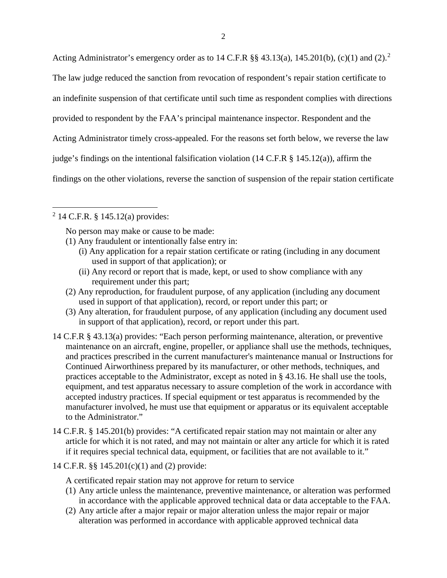Acting Administrator's emergency order as to 14 C.F.R  $\S$ § 43.13(a), 145.[2](#page-1-0)01(b), (c)(1) and (2).<sup>2</sup>

The law judge reduced the sanction from revocation of respondent's repair station certificate to

an indefinite suspension of that certificate until such time as respondent complies with directions

provided to respondent by the FAA's principal maintenance inspector. Respondent and the

Acting Administrator timely cross-appealed. For the reasons set forth below, we reverse the law

judge's findings on the intentional falsification violation (14 C.F.R § 145.12(a)), affirm the

findings on the other violations, reverse the sanction of suspension of the repair station certificate

<span id="page-1-0"></span> $^{2}$  14 C.F.R. § 145.12(a) provides:

 $\overline{\phantom{a}}$ 

No person may make or cause to be made:

- (1) Any fraudulent or intentionally false entry in:
	- (i) Any application for a repair station certificate or rating (including in any document used in support of that application); or
	- (ii) Any record or report that is made, kept, or used to show compliance with any requirement under this part;
- (2) Any reproduction, for fraudulent purpose, of any application (including any document used in support of that application), record, or report under this part; or
- (3) Any alteration, for fraudulent purpose, of any application (including any document used in support of that application), record, or report under this part.
- 14 C.F.R § 43.13(a) provides: "Each person performing maintenance, alteration, or preventive maintenance on an aircraft, engine, propeller, or appliance shall use the methods, techniques, and practices prescribed in the current manufacturer's maintenance manual or Instructions for Continued Airworthiness prepared by its manufacturer, or other methods, techniques, and practices acceptable to the Administrator, except as noted in § 43.16. He shall use the tools, equipment, and test apparatus necessary to assure completion of the work in accordance with accepted industry practices. If special equipment or test apparatus is recommended by the manufacturer involved, he must use that equipment or apparatus or its equivalent acceptable to the Administrator."
- 14 C.F.R. § 145.201(b) provides: "A certificated repair station may not maintain or alter any article for which it is not rated, and may not maintain or alter any article for which it is rated if it requires special technical data, equipment, or facilities that are not available to it."
- 14 C.F.R. §§ 145.201(c)(1) and (2) provide:

A certificated repair station may not approve for return to service

- (1) Any article unless the maintenance, preventive maintenance, or alteration was performed in accordance with the applicable approved technical data or data acceptable to the FAA.
- (2) Any article after a major repair or major alteration unless the major repair or major alteration was performed in accordance with applicable approved technical data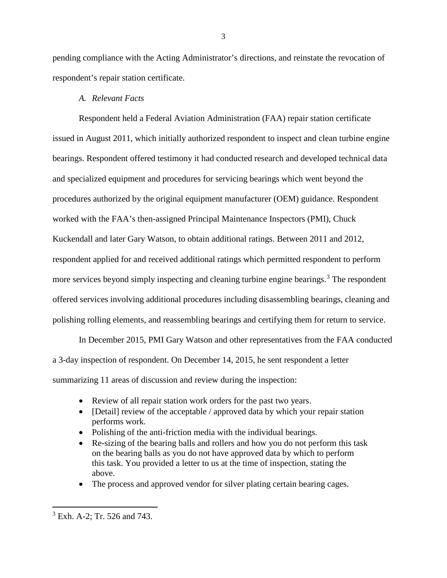pending compliance with the Acting Administrator's directions, and reinstate the revocation of respondent's repair station certificate.

# *A. Relevant Facts*

Respondent held a Federal Aviation Administration (FAA) repair station certificate issued in August 2011, which initially authorized respondent to inspect and clean turbine engine bearings. Respondent offered testimony it had conducted research and developed technical data and specialized equipment and procedures for servicing bearings which went beyond the procedures authorized by the original equipment manufacturer (OEM) guidance. Respondent worked with the FAA's then-assigned Principal Maintenance Inspectors (PMI), Chuck Kuckendall and later Gary Watson, to obtain additional ratings. Between 2011 and 2012, respondent applied for and received additional ratings which permitted respondent to perform more services beyond simply inspecting and cleaning turbine engine bearings.<sup>[3](#page-2-0)</sup> The respondent offered services involving additional procedures including disassembling bearings, cleaning and polishing rolling elements, and reassembling bearings and certifying them for return to service.

In December 2015, PMI Gary Watson and other representatives from the FAA conducted a 3-day inspection of respondent. On December 14, 2015, he sent respondent a letter summarizing 11 areas of discussion and review during the inspection:

- Review of all repair station work orders for the past two years.
- [Detail] review of the acceptable / approved data by which your repair station performs work.
- Polishing of the anti-friction media with the individual bearings.
- Re-sizing of the bearing balls and rollers and how you do not perform this task on the bearing balls as you do not have approved data by which to perform this task. You provided a letter to us at the time of inspection, stating the above.
- The process and approved vendor for silver plating certain bearing cages.

l

<span id="page-2-0"></span><sup>3</sup> Exh. A-2; Tr. 526 and 743.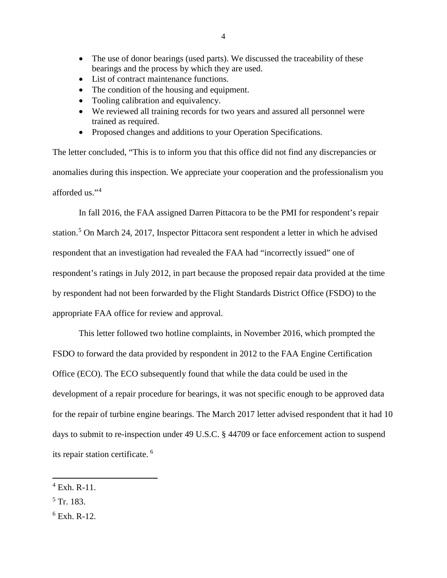- The use of donor bearings (used parts). We discussed the traceability of these bearings and the process by which they are used.
- List of contract maintenance functions.
- The condition of the housing and equipment.
- Tooling calibration and equivalency.
- We reviewed all training records for two years and assured all personnel were trained as required.
- Proposed changes and additions to your Operation Specifications.

The letter concluded, "This is to inform you that this office did not find any discrepancies or anomalies during this inspection. We appreciate your cooperation and the professionalism you afforded us."[4](#page-3-0)

In fall 2016, the FAA assigned Darren Pittacora to be the PMI for respondent's repair station.[5](#page-3-1) On March 24, 2017, Inspector Pittacora sent respondent a letter in which he advised respondent that an investigation had revealed the FAA had "incorrectly issued" one of respondent's ratings in July 2012, in part because the proposed repair data provided at the time by respondent had not been forwarded by the Flight Standards District Office (FSDO) to the appropriate FAA office for review and approval.

This letter followed two hotline complaints, in November 2016, which prompted the FSDO to forward the data provided by respondent in 2012 to the FAA Engine Certification Office (ECO). The ECO subsequently found that while the data could be used in the development of a repair procedure for bearings, it was not specific enough to be approved data for the repair of turbine engine bearings. The March 2017 letter advised respondent that it had 10 days to submit to re-inspection under 49 U.S.C. § 44709 or face enforcement action to suspend its repair station certificate. [6](#page-3-2)

<span id="page-3-1"></span> $5$  Tr. 183.

 $\overline{\phantom{a}}$ 

<span id="page-3-0"></span> $^{4}$  Exh. R-11.

<span id="page-3-2"></span> $6$  Exh. R-12.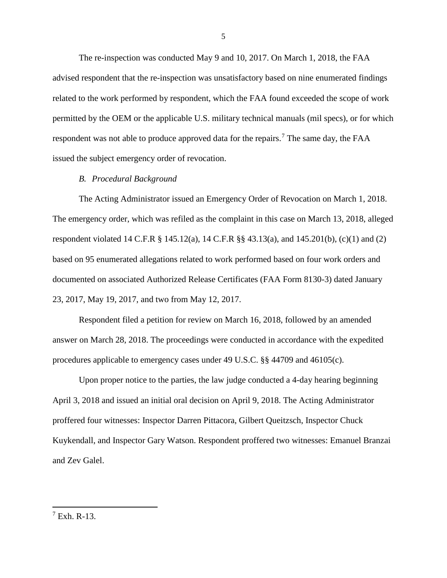The re-inspection was conducted May 9 and 10, 2017. On March 1, 2018, the FAA advised respondent that the re-inspection was unsatisfactory based on nine enumerated findings related to the work performed by respondent, which the FAA found exceeded the scope of work permitted by the OEM or the applicable U.S. military technical manuals (mil specs), or for which respondent was not able to produce approved data for the repairs.<sup>[7](#page-4-0)</sup> The same day, the FAA issued the subject emergency order of revocation.

## *B. Procedural Background*

The Acting Administrator issued an Emergency Order of Revocation on March 1, 2018. The emergency order, which was refiled as the complaint in this case on March 13, 2018, alleged respondent violated 14 C.F.R § 145.12(a), 14 C.F.R §§ 43.13(a), and 145.201(b), (c)(1) and (2) based on 95 enumerated allegations related to work performed based on four work orders and documented on associated Authorized Release Certificates (FAA Form 8130-3) dated January 23, 2017, May 19, 2017, and two from May 12, 2017.

Respondent filed a petition for review on March 16, 2018, followed by an amended answer on March 28, 2018. The proceedings were conducted in accordance with the expedited procedures applicable to emergency cases under 49 U.S.C. §§ 44709 and 46105(c).

Upon proper notice to the parties, the law judge conducted a 4-day hearing beginning April 3, 2018 and issued an initial oral decision on April 9, 2018. The Acting Administrator proffered four witnesses: Inspector Darren Pittacora, Gilbert Queitzsch, Inspector Chuck Kuykendall, and Inspector Gary Watson. Respondent proffered two witnesses: Emanuel Branzai and Zev Galel.

l

<span id="page-4-0"></span> $7$  Exh. R-13.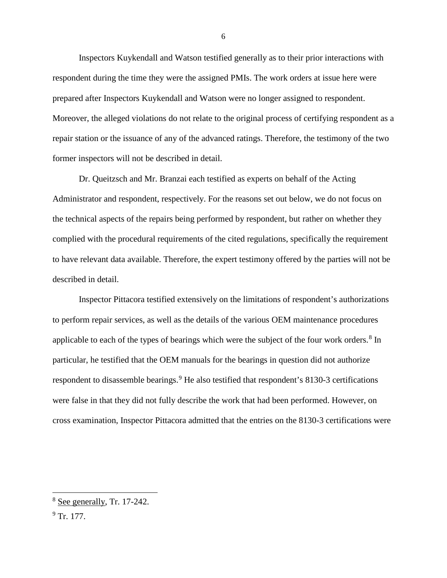Inspectors Kuykendall and Watson testified generally as to their prior interactions with respondent during the time they were the assigned PMIs. The work orders at issue here were prepared after Inspectors Kuykendall and Watson were no longer assigned to respondent. Moreover, the alleged violations do not relate to the original process of certifying respondent as a repair station or the issuance of any of the advanced ratings. Therefore, the testimony of the two former inspectors will not be described in detail.

Dr. Queitzsch and Mr. Branzai each testified as experts on behalf of the Acting Administrator and respondent, respectively. For the reasons set out below, we do not focus on the technical aspects of the repairs being performed by respondent, but rather on whether they complied with the procedural requirements of the cited regulations, specifically the requirement to have relevant data available. Therefore, the expert testimony offered by the parties will not be described in detail.

Inspector Pittacora testified extensively on the limitations of respondent's authorizations to perform repair services, as well as the details of the various OEM maintenance procedures applicable to each of the types of bearings which were the subject of the four work orders.<sup>[8](#page-5-0)</sup> In particular, he testified that the OEM manuals for the bearings in question did not authorize respondent to disassemble bearings.<sup>[9](#page-5-1)</sup> He also testified that respondent's 8130-3 certifications were false in that they did not fully describe the work that had been performed. However, on cross examination, Inspector Pittacora admitted that the entries on the 8130-3 certifications were

l

<span id="page-5-0"></span><sup>8</sup> See generally, Tr. 17-242.

<span id="page-5-1"></span> $9$  Tr. 177.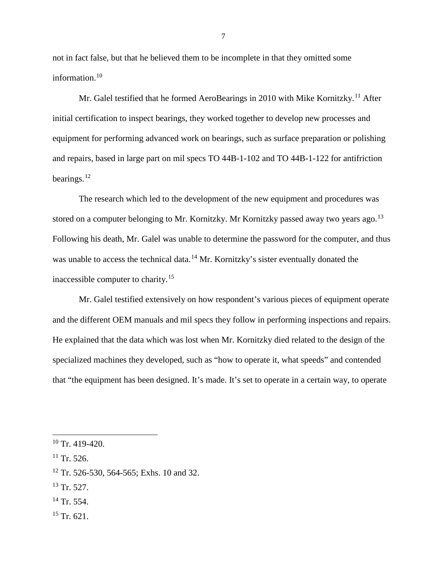not in fact false, but that he believed them to be incomplete in that they omitted some information.<sup>[10](#page-6-0)</sup>

Mr. Galel testified that he formed AeroBearings in 2010 with Mike Kornitzky.<sup>[11](#page-6-1)</sup> After initial certification to inspect bearings, they worked together to develop new processes and equipment for performing advanced work on bearings, such as surface preparation or polishing and repairs, based in large part on mil specs TO 44B-1-102 and TO 44B-1-122 for antifriction bearings. $^{12}$  $^{12}$  $^{12}$ 

The research which led to the development of the new equipment and procedures was stored on a computer belonging to Mr. Kornitzky. Mr Kornitzky passed away two years ago.<sup>[13](#page-6-3)</sup> Following his death, Mr. Galel was unable to determine the password for the computer, and thus was unable to access the technical data.<sup>[14](#page-6-4)</sup> Mr. Kornitzky's sister eventually donated the inaccessible computer to charity.[15](#page-6-5)

Mr. Galel testified extensively on how respondent's various pieces of equipment operate and the different OEM manuals and mil specs they follow in performing inspections and repairs. He explained that the data which was lost when Mr. Kornitzky died related to the design of the specialized machines they developed, such as "how to operate it, what speeds" and contended that "the equipment has been designed. It's made. It's set to operate in a certain way, to operate

l

<span id="page-6-5"></span> $15$  Tr. 621.

<span id="page-6-0"></span> $10$  Tr. 419-420.

<span id="page-6-1"></span> $11$  Tr. 526.

<span id="page-6-2"></span> $12$  Tr. 526-530, 564-565; Exhs. 10 and 32.

<span id="page-6-3"></span> $13$  Tr. 527.

<span id="page-6-4"></span><sup>&</sup>lt;sup>14</sup> Tr. 554.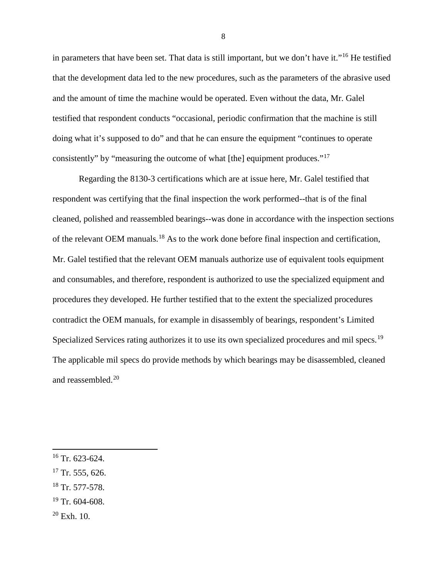in parameters that have been set. That data is still important, but we don't have it."[16](#page-7-0) He testified that the development data led to the new procedures, such as the parameters of the abrasive used and the amount of time the machine would be operated. Even without the data, Mr. Galel testified that respondent conducts "occasional, periodic confirmation that the machine is still doing what it's supposed to do" and that he can ensure the equipment "continues to operate consistently" by "measuring the outcome of what [the] equipment produces."[17](#page-7-1)

Regarding the 8130-3 certifications which are at issue here, Mr. Galel testified that respondent was certifying that the final inspection the work performed--that is of the final cleaned, polished and reassembled bearings--was done in accordance with the inspection sections of the relevant OEM manuals.[18](#page-7-2) As to the work done before final inspection and certification, Mr. Galel testified that the relevant OEM manuals authorize use of equivalent tools equipment and consumables, and therefore, respondent is authorized to use the specialized equipment and procedures they developed. He further testified that to the extent the specialized procedures contradict the OEM manuals, for example in disassembly of bearings, respondent's Limited Specialized Services rating authorizes it to use its own specialized procedures and mil specs.<sup>[19](#page-7-3)</sup> The applicable mil specs do provide methods by which bearings may be disassembled, cleaned and reassembled.[20](#page-7-4)

 $\overline{a}$ 

- <span id="page-7-2"></span> $18$  Tr. 577-578.
- <span id="page-7-3"></span> $19$  Tr. 604-608.
- <span id="page-7-4"></span> $20$  Exh. 10.

<span id="page-7-0"></span> $16$  Tr. 623-624.

<span id="page-7-1"></span> $17$  Tr. 555, 626.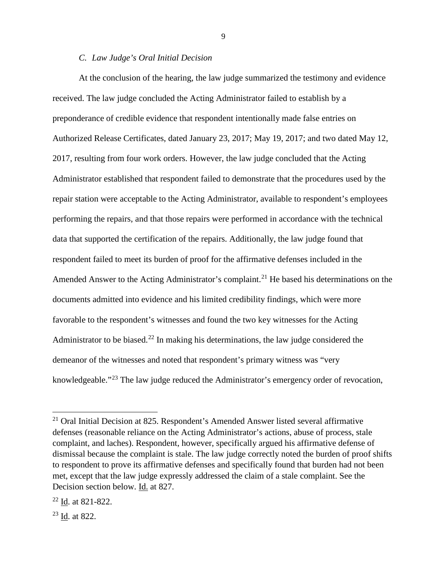## *C. Law Judge's Oral Initial Decision*

At the conclusion of the hearing, the law judge summarized the testimony and evidence received. The law judge concluded the Acting Administrator failed to establish by a preponderance of credible evidence that respondent intentionally made false entries on Authorized Release Certificates, dated January 23, 2017; May 19, 2017; and two dated May 12, 2017, resulting from four work orders. However, the law judge concluded that the Acting Administrator established that respondent failed to demonstrate that the procedures used by the repair station were acceptable to the Acting Administrator, available to respondent's employees performing the repairs, and that those repairs were performed in accordance with the technical data that supported the certification of the repairs. Additionally, the law judge found that respondent failed to meet its burden of proof for the affirmative defenses included in the Amended Answer to the Acting Administrator's complaint.<sup>[21](#page-8-0)</sup> He based his determinations on the documents admitted into evidence and his limited credibility findings, which were more favorable to the respondent's witnesses and found the two key witnesses for the Acting Administrator to be biased.<sup>[22](#page-8-1)</sup> In making his determinations, the law judge considered the demeanor of the witnesses and noted that respondent's primary witness was "very knowledgeable."<sup>[23](#page-8-2)</sup> The law judge reduced the Administrator's emergency order of revocation,

<span id="page-8-2"></span><sup>23</sup> Id. at 822.

l

<span id="page-8-0"></span><sup>21</sup> Oral Initial Decision at 825. Respondent's Amended Answer listed several affirmative defenses (reasonable reliance on the Acting Administrator's actions, abuse of process, stale complaint, and laches). Respondent, however, specifically argued his affirmative defense of dismissal because the complaint is stale. The law judge correctly noted the burden of proof shifts to respondent to prove its affirmative defenses and specifically found that burden had not been met, except that the law judge expressly addressed the claim of a stale complaint. See the Decision section below. Id. at 827.

<span id="page-8-1"></span> $22$  Id. at 821-822.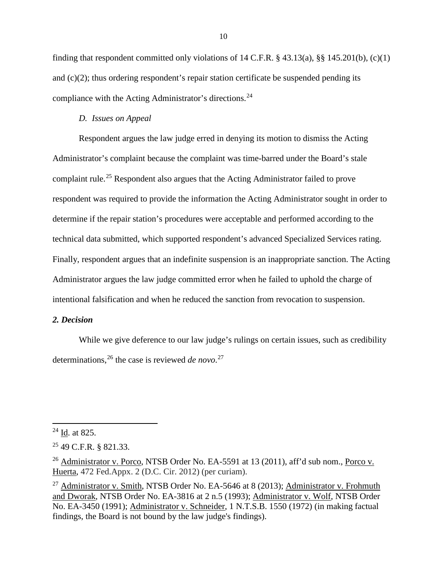finding that respondent committed only violations of 14 C.F.R.  $\S$  43.13(a),  $\S$  145.201(b), (c)(1) and (c)(2); thus ordering respondent's repair station certificate be suspended pending its compliance with the Acting Administrator's directions.[24](#page-9-0)

## *D. Issues on Appeal*

Respondent argues the law judge erred in denying its motion to dismiss the Acting Administrator's complaint because the complaint was time-barred under the Board's stale complaint rule.[25](#page-9-1) Respondent also argues that the Acting Administrator failed to prove respondent was required to provide the information the Acting Administrator sought in order to determine if the repair station's procedures were acceptable and performed according to the technical data submitted, which supported respondent's advanced Specialized Services rating. Finally, respondent argues that an indefinite suspension is an inappropriate sanction. The Acting Administrator argues the law judge committed error when he failed to uphold the charge of intentional falsification and when he reduced the sanction from revocation to suspension.

## *2. Decision*

While we give deference to our law judge's rulings on certain issues, such as credibility determinations,[26](#page-9-2) the case is reviewed *de novo*. [27](#page-9-3)

 $\overline{\phantom{a}}$ 

<span id="page-9-0"></span><sup>24</sup> Id. at 825.

<span id="page-9-1"></span><sup>25</sup> 49 C.F.R. § 821.33.

<span id="page-9-2"></span><sup>&</sup>lt;sup>26</sup> Administrator v. Porco, NTSB Order No. EA-5591 at 13 (2011), aff'd sub nom., Porco v. Huerta, 472 Fed.Appx. 2 (D.C. Cir. 2012) (per curiam).

<span id="page-9-3"></span><sup>&</sup>lt;sup>27</sup> Administrator v. Smith, NTSB Order No. EA-5646 at 8 (2013); Administrator v. Frohmuth and Dworak, NTSB Order No. EA-3816 at 2 n.5 (1993); Administrator v. Wolf, NTSB Order No. EA-3450 (1991); Administrator v. Schneider, 1 N.T.S.B. 1550 (1972) (in making factual findings, the Board is not bound by the law judge's findings).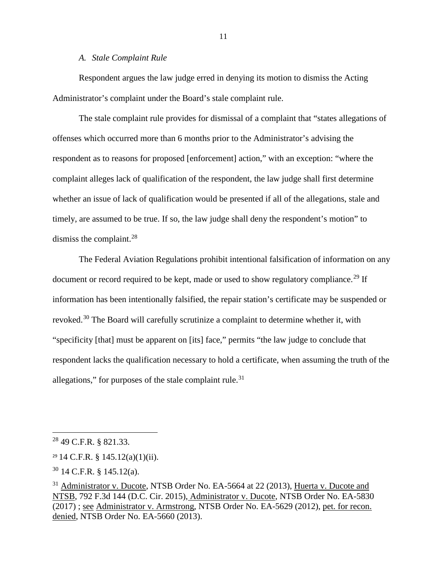## *A. Stale Complaint Rule*

Respondent argues the law judge erred in denying its motion to dismiss the Acting Administrator's complaint under the Board's stale complaint rule.

The stale complaint rule provides for dismissal of a complaint that "states allegations of offenses which occurred more than 6 months prior to the Administrator's advising the respondent as to reasons for proposed [enforcement] action," with an exception: "where the complaint alleges lack of qualification of the respondent, the law judge shall first determine whether an issue of lack of qualification would be presented if all of the allegations, stale and timely, are assumed to be true. If so, the law judge shall deny the respondent's motion" to dismiss the complaint.[28](#page-10-0)

The Federal Aviation Regulations prohibit intentional falsification of information on any document or record required to be kept, made or used to show regulatory compliance.<sup>[29](#page-10-1)</sup> If information has been intentionally falsified, the repair station's certificate may be suspended or revoked.<sup>[30](#page-10-2)</sup> The Board will carefully scrutinize a complaint to determine whether it, with "specificity [that] must be apparent on [its] face," permits "the law judge to conclude that respondent lacks the qualification necessary to hold a certificate, when assuming the truth of the allegations," for purposes of the stale complaint rule. $31$ 

l

<span id="page-10-0"></span><sup>28</sup> 49 C.F.R. § 821.33.

<span id="page-10-1"></span> $29$  14 C.F.R. § 145.12(a)(1)(ii).

<span id="page-10-2"></span> $30$  14 C.F.R. § 145.12(a).

<span id="page-10-3"></span><sup>&</sup>lt;sup>31</sup> Administrator v. Ducote, NTSB Order No. EA-5664 at 22 (2013), Huerta v. Ducote and NTSB, 792 F.3d 144 (D.C. Cir. 2015), Administrator v. Ducote, NTSB Order No. EA-5830 (2017) ; see Administrator v. Armstrong, NTSB Order No. EA-5629 (2012), pet. for recon. denied, NTSB Order No. EA-5660 (2013).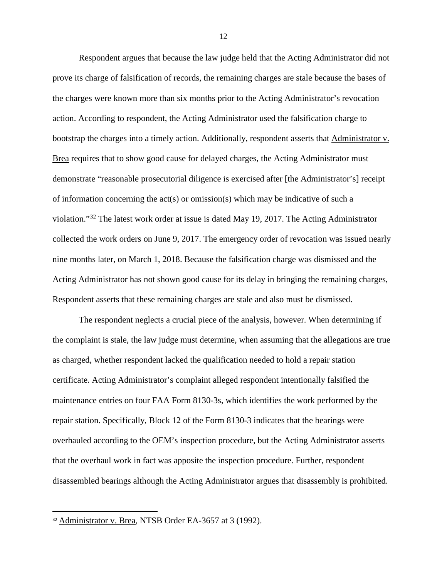Respondent argues that because the law judge held that the Acting Administrator did not prove its charge of falsification of records, the remaining charges are stale because the bases of the charges were known more than six months prior to the Acting Administrator's revocation action. According to respondent, the Acting Administrator used the falsification charge to bootstrap the charges into a timely action. Additionally, respondent asserts that Administrator v. Brea requires that to show good cause for delayed charges, the Acting Administrator must demonstrate "reasonable prosecutorial diligence is exercised after [the Administrator's] receipt of information concerning the act(s) or omission(s) which may be indicative of such a violation."[32](#page-11-0) The latest work order at issue is dated May 19, 2017. The Acting Administrator collected the work orders on June 9, 2017. The emergency order of revocation was issued nearly nine months later, on March 1, 2018. Because the falsification charge was dismissed and the Acting Administrator has not shown good cause for its delay in bringing the remaining charges, Respondent asserts that these remaining charges are stale and also must be dismissed.

The respondent neglects a crucial piece of the analysis, however. When determining if the complaint is stale, the law judge must determine, when assuming that the allegations are true as charged, whether respondent lacked the qualification needed to hold a repair station certificate. Acting Administrator's complaint alleged respondent intentionally falsified the maintenance entries on four FAA Form 8130-3s, which identifies the work performed by the repair station. Specifically, Block 12 of the Form 8130-3 indicates that the bearings were overhauled according to the OEM's inspection procedure, but the Acting Administrator asserts that the overhaul work in fact was apposite the inspection procedure. Further, respondent disassembled bearings although the Acting Administrator argues that disassembly is prohibited.

<span id="page-11-0"></span> <sup>32</sup> Administrator v. Brea, NTSB Order EA-3657 at 3 (1992).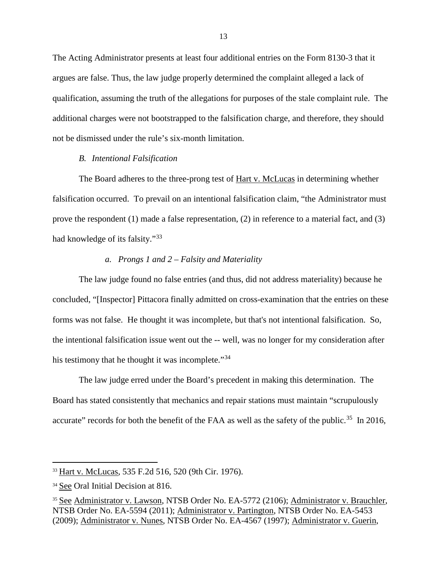The Acting Administrator presents at least four additional entries on the Form 8130-3 that it argues are false. Thus, the law judge properly determined the complaint alleged a lack of qualification, assuming the truth of the allegations for purposes of the stale complaint rule. The additional charges were not bootstrapped to the falsification charge, and therefore, they should not be dismissed under the rule's six-month limitation.

## *B. Intentional Falsification*

The Board adheres to the three-prong test of Hart v. McLucas in determining whether falsification occurred. To prevail on an intentional falsification claim, "the Administrator must prove the respondent (1) made a false representation, (2) in reference to a material fact, and (3) had knowledge of its falsity."[33](#page-12-0)

## *a. Prongs 1 and 2 – Falsity and Materiality*

The law judge found no false entries (and thus, did not address materiality) because he concluded, "[Inspector] Pittacora finally admitted on cross-examination that the entries on these forms was not false. He thought it was incomplete, but that's not intentional falsification. So, the intentional falsification issue went out the -- well, was no longer for my consideration after his testimony that he thought it was incomplete."<sup>34</sup>

The law judge erred under the Board's precedent in making this determination. The Board has stated consistently that mechanics and repair stations must maintain "scrupulously accurate" records for both the benefit of the FAA as well as the safety of the public.<sup>35</sup> In 2016,

 $\overline{a}$ 

<span id="page-12-0"></span><sup>33</sup> Hart v. McLucas, 535 F.2d 516, 520 (9th Cir. 1976).

<span id="page-12-1"></span><sup>&</sup>lt;sup>34</sup> See Oral Initial Decision at 816.

<span id="page-12-2"></span><sup>35</sup> See Administrator v. Lawson, NTSB Order No. EA-5772 (2106); Administrator v. Brauchler, NTSB Order No. EA-5594 (2011); Administrator v. Partington, NTSB Order No. EA-5453 (2009); Administrator v. Nunes, NTSB Order No. EA-4567 (1997); Administrator v. Guerin,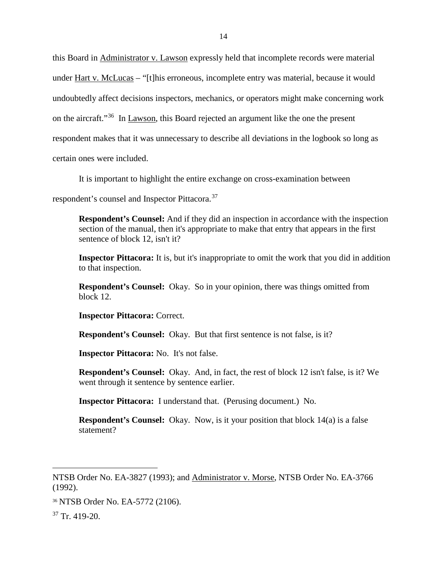this Board in Administrator v. Lawson expressly held that incomplete records were material under Hart v. McLucas – "[t]his erroneous, incomplete entry was material, because it would undoubtedly affect decisions inspectors, mechanics, or operators might make concerning work on the aircraft."<sup>[36](#page-13-0)</sup> In Lawson, this Board rejected an argument like the one the present respondent makes that it was unnecessary to describe all deviations in the logbook so long as certain ones were included.

It is important to highlight the entire exchange on cross-examination between

respondent's counsel and Inspector Pittacora.[37](#page-13-1)

**Respondent's Counsel:** And if they did an inspection in accordance with the inspection section of the manual, then it's appropriate to make that entry that appears in the first sentence of block 12, isn't it?

**Inspector Pittacora:** It is, but it's inappropriate to omit the work that you did in addition to that inspection.

**Respondent's Counsel:** Okay. So in your opinion, there was things omitted from block 12.

**Inspector Pittacora:** Correct.

**Respondent's Counsel:** Okay. But that first sentence is not false, is it?

**Inspector Pittacora:** No. It's not false.

**Respondent's Counsel:** Okay. And, in fact, the rest of block 12 isn't false, is it? We went through it sentence by sentence earlier.

**Inspector Pittacora:** I understand that. (Perusing document.) No.

**Respondent's Counsel:** Okay. Now, is it your position that block 14(a) is a false statement?

 $\overline{\phantom{a}}$ 

NTSB Order No. EA-3827 (1993); and Administrator v. Morse, NTSB Order No. EA-3766 (1992).

<span id="page-13-0"></span><sup>36</sup> NTSB Order No. EA-5772 (2106).

<span id="page-13-1"></span> $37$  Tr. 419-20.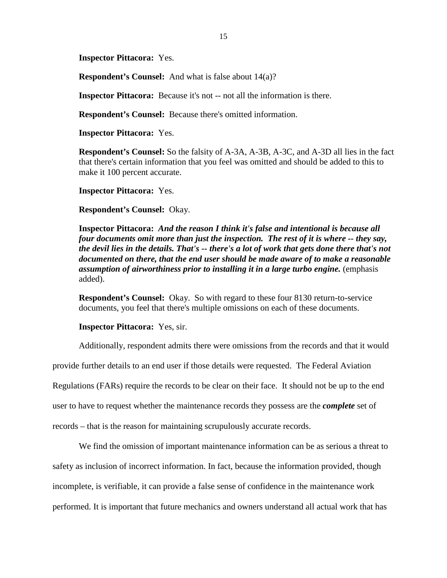**Inspector Pittacora:** Yes.

**Respondent's Counsel:** And what is false about 14(a)?

**Inspector Pittacora:** Because it's not -- not all the information is there.

**Respondent's Counsel:** Because there's omitted information.

**Inspector Pittacora:** Yes.

**Respondent's Counsel:** So the falsity of A-3A, A-3B, A-3C, and A-3D all lies in the fact that there's certain information that you feel was omitted and should be added to this to make it 100 percent accurate.

**Inspector Pittacora:** Yes.

### **Respondent's Counsel:** Okay.

**Inspector Pittacora:** *And the reason I think it's false and intentional is because all four documents omit more than just the inspection. The rest of it is where -- they say, the devil lies in the details. That's -- there's a lot of work that gets done there that's not documented on there, that the end user should be made aware of to make a reasonable assumption of airworthiness prior to installing it in a large turbo engine.* (emphasis added).

**Respondent's Counsel:** Okay. So with regard to these four 8130 return-to-service documents, you feel that there's multiple omissions on each of these documents.

### **Inspector Pittacora:** Yes, sir.

Additionally, respondent admits there were omissions from the records and that it would

provide further details to an end user if those details were requested. The Federal Aviation

Regulations (FARs) require the records to be clear on their face. It should not be up to the end

user to have to request whether the maintenance records they possess are the *complete* set of

records – that is the reason for maintaining scrupulously accurate records.

We find the omission of important maintenance information can be as serious a threat to safety as inclusion of incorrect information. In fact, because the information provided, though incomplete, is verifiable, it can provide a false sense of confidence in the maintenance work performed. It is important that future mechanics and owners understand all actual work that has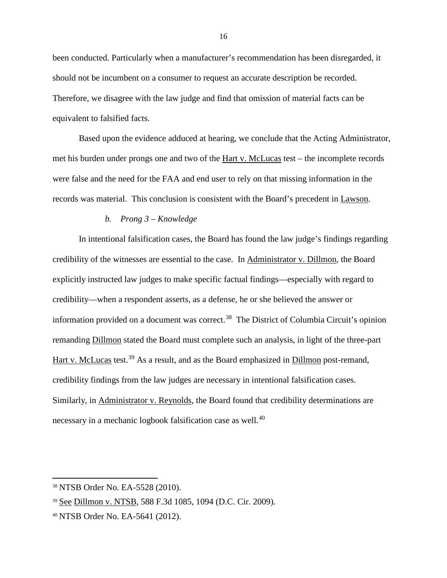been conducted. Particularly when a manufacturer's recommendation has been disregarded, it should not be incumbent on a consumer to request an accurate description be recorded. Therefore, we disagree with the law judge and find that omission of material facts can be equivalent to falsified facts.

Based upon the evidence adduced at hearing, we conclude that the Acting Administrator, met his burden under prongs one and two of the <u>Hart v. McLucas</u> test – the incomplete records were false and the need for the FAA and end user to rely on that missing information in the records was material. This conclusion is consistent with the Board's precedent in Lawson.

## *b. Prong 3 – Knowledge*

In intentional falsification cases, the Board has found the law judge's findings regarding credibility of the witnesses are essential to the case. In Administrator v. Dillmon, the Board explicitly instructed law judges to make specific factual findings—especially with regard to credibility—when a respondent asserts, as a defense, he or she believed the answer or information provided on a document was correct.<sup>38</sup> The District of Columbia Circuit's opinion remanding Dillmon stated the Board must complete such an analysis, in light of the three-part Hart v. McLucas test.<sup>[39](#page-15-1)</sup> As a result, and as the Board emphasized in Dillmon post-remand, credibility findings from the law judges are necessary in intentional falsification cases. Similarly, in Administrator v. Reynolds, the Board found that credibility determinations are necessary in a mechanic logbook falsification case as well.<sup>[40](#page-15-2)</sup>

 $\overline{\phantom{a}}$ 

<span id="page-15-0"></span><sup>38</sup> NTSB Order No. EA-5528 (2010).

<span id="page-15-1"></span><sup>39</sup> See Dillmon v. NTSB, 588 F.3d 1085, 1094 (D.C. Cir. 2009).

<span id="page-15-2"></span><sup>40</sup> NTSB Order No. EA-5641 (2012).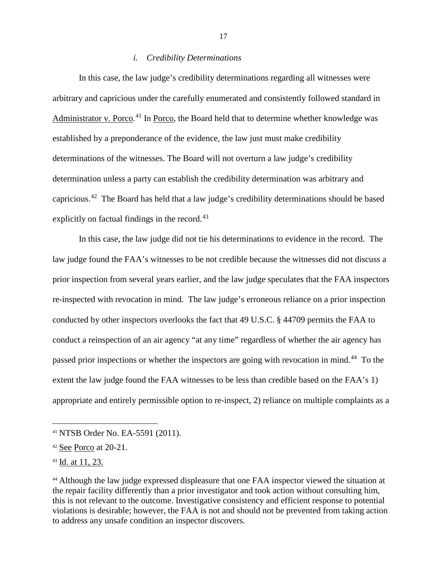## *i. Credibility Determinations*

In this case, the law judge's credibility determinations regarding all witnesses were arbitrary and capricious under the carefully enumerated and consistently followed standard in Administrator v. Porco.<sup>[41](#page-16-0)</sup> In Porco, the Board held that to determine whether knowledge was established by a preponderance of the evidence, the law just must make credibility determinations of the witnesses. The Board will not overturn a law judge's credibility determination unless a party can establish the credibility determination was arbitrary and capricious.[42](#page-16-1) The Board has held that a law judge's credibility determinations should be based explicitly on factual findings in the record.<sup>43</sup>

In this case, the law judge did not tie his determinations to evidence in the record. The law judge found the FAA's witnesses to be not credible because the witnesses did not discuss a prior inspection from several years earlier, and the law judge speculates that the FAA inspectors re-inspected with revocation in mind. The law judge's erroneous reliance on a prior inspection conducted by other inspectors overlooks the fact that 49 U.S.C. § 44709 permits the FAA to conduct a reinspection of an air agency "at any time" regardless of whether the air agency has passed prior inspections or whether the inspectors are going with revocation in mind.<sup>[44](#page-16-3)</sup> To the extent the law judge found the FAA witnesses to be less than credible based on the FAA's 1) appropriate and entirely permissible option to re-inspect, 2) reliance on multiple complaints as a

 $\overline{\phantom{a}}$ 

<span id="page-16-0"></span><sup>41</sup> NTSB Order No. EA-5591 (2011).

<span id="page-16-1"></span><sup>42</sup> See Porco at 20-21.

<span id="page-16-2"></span><sup>43</sup> Id. at 11, 23.

<span id="page-16-3"></span><sup>44</sup> Although the law judge expressed displeasure that one FAA inspector viewed the situation at the repair facility differently than a prior investigator and took action without consulting him, this is not relevant to the outcome. Investigative consistency and efficient response to potential violations is desirable; however, the FAA is not and should not be prevented from taking action to address any unsafe condition an inspector discovers.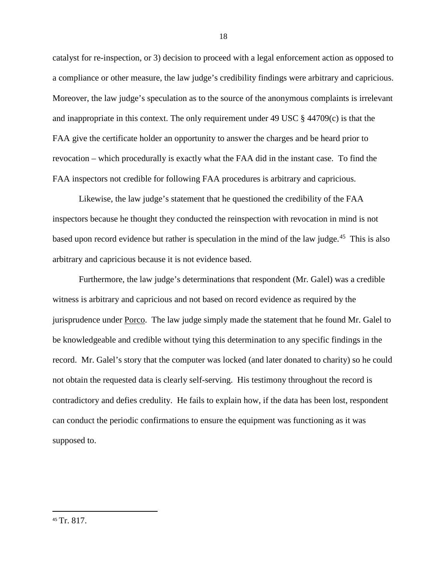catalyst for re-inspection, or 3) decision to proceed with a legal enforcement action as opposed to a compliance or other measure, the law judge's credibility findings were arbitrary and capricious. Moreover, the law judge's speculation as to the source of the anonymous complaints is irrelevant and inappropriate in this context. The only requirement under 49 USC § 44709(c) is that the FAA give the certificate holder an opportunity to answer the charges and be heard prior to revocation – which procedurally is exactly what the FAA did in the instant case. To find the FAA inspectors not credible for following FAA procedures is arbitrary and capricious.

Likewise, the law judge's statement that he questioned the credibility of the FAA inspectors because he thought they conducted the reinspection with revocation in mind is not based upon record evidence but rather is speculation in the mind of the law judge.<sup>45</sup> This is also arbitrary and capricious because it is not evidence based.

Furthermore, the law judge's determinations that respondent (Mr. Galel) was a credible witness is arbitrary and capricious and not based on record evidence as required by the jurisprudence under Porco. The law judge simply made the statement that he found Mr. Galel to be knowledgeable and credible without tying this determination to any specific findings in the record. Mr. Galel's story that the computer was locked (and later donated to charity) so he could not obtain the requested data is clearly self-serving. His testimony throughout the record is contradictory and defies credulity. He fails to explain how, if the data has been lost, respondent can conduct the periodic confirmations to ensure the equipment was functioning as it was supposed to.

<span id="page-17-0"></span> <sup>45</sup> Tr. 817.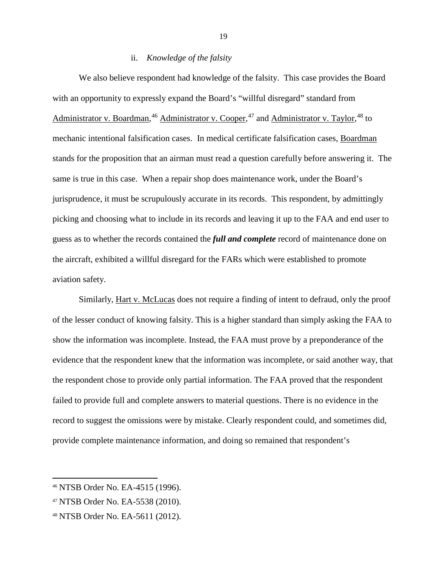## ii. *Knowledge of the falsity*

We also believe respondent had knowledge of the falsity. This case provides the Board with an opportunity to expressly expand the Board's "willful disregard" standard from Administrator v. Boardman,<sup>[46](#page-18-0)</sup> Administrator v. Cooper,<sup>[47](#page-18-1)</sup> and Administrator v. Taylor,<sup>[48](#page-18-2)</sup> to mechanic intentional falsification cases. In medical certificate falsification cases, Boardman stands for the proposition that an airman must read a question carefully before answering it. The same is true in this case. When a repair shop does maintenance work, under the Board's jurisprudence, it must be scrupulously accurate in its records. This respondent, by admittingly picking and choosing what to include in its records and leaving it up to the FAA and end user to guess as to whether the records contained the *full and complete* record of maintenance done on the aircraft, exhibited a willful disregard for the FARs which were established to promote aviation safety.

Similarly, Hart v. McLucas does not require a finding of intent to defraud, only the proof of the lesser conduct of knowing falsity. This is a higher standard than simply asking the FAA to show the information was incomplete. Instead, the FAA must prove by a preponderance of the evidence that the respondent knew that the information was incomplete, or said another way, that the respondent chose to provide only partial information. The FAA proved that the respondent failed to provide full and complete answers to material questions. There is no evidence in the record to suggest the omissions were by mistake. Clearly respondent could, and sometimes did, provide complete maintenance information, and doing so remained that respondent's

 $\overline{\phantom{a}}$ 

<span id="page-18-0"></span><sup>46</sup> NTSB Order No. EA-4515 (1996).

<span id="page-18-1"></span><sup>47</sup> NTSB Order No. EA-5538 (2010).

<span id="page-18-2"></span><sup>48</sup> NTSB Order No. EA-5611 (2012).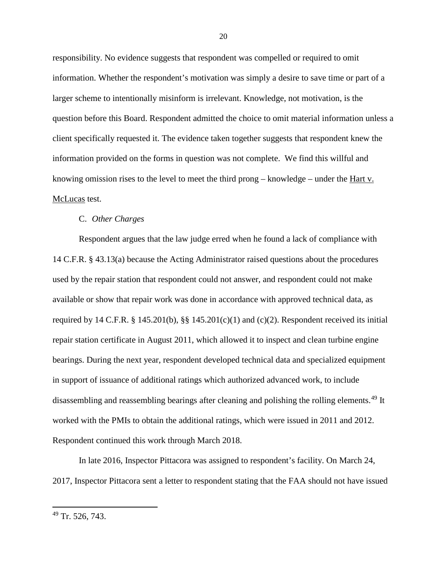responsibility. No evidence suggests that respondent was compelled or required to omit information. Whether the respondent's motivation was simply a desire to save time or part of a larger scheme to intentionally misinform is irrelevant. Knowledge, not motivation, is the question before this Board. Respondent admitted the choice to omit material information unless a client specifically requested it. The evidence taken together suggests that respondent knew the information provided on the forms in question was not complete. We find this willful and knowing omission rises to the level to meet the third prong – knowledge – under the Hart v. McLucas test.

#### C. *Other Charges*

Respondent argues that the law judge erred when he found a lack of compliance with 14 C.F.R. § 43.13(a) because the Acting Administrator raised questions about the procedures used by the repair station that respondent could not answer, and respondent could not make available or show that repair work was done in accordance with approved technical data, as required by 14 C.F.R. § 145.201(b), §§ 145.201(c)(1) and (c)(2). Respondent received its initial repair station certificate in August 2011, which allowed it to inspect and clean turbine engine bearings. During the next year, respondent developed technical data and specialized equipment in support of issuance of additional ratings which authorized advanced work, to include disassembling and reassembling bearings after cleaning and polishing the rolling elements.<sup>[49](#page-19-0)</sup> It worked with the PMIs to obtain the additional ratings, which were issued in 2011 and 2012. Respondent continued this work through March 2018.

In late 2016, Inspector Pittacora was assigned to respondent's facility. On March 24, 2017, Inspector Pittacora sent a letter to respondent stating that the FAA should not have issued

l

<span id="page-19-0"></span> $49$  Tr. 526, 743.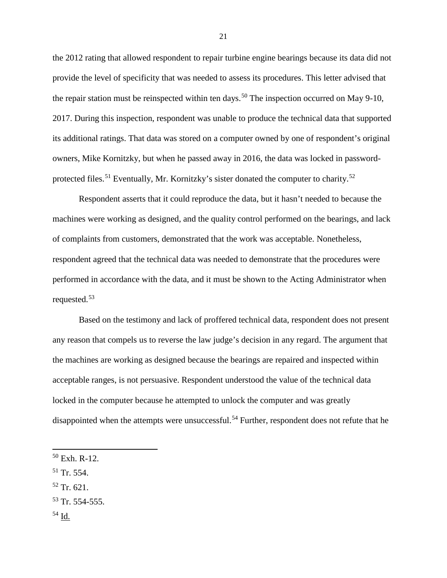the 2012 rating that allowed respondent to repair turbine engine bearings because its data did not provide the level of specificity that was needed to assess its procedures. This letter advised that the repair station must be reinspected within ten days.<sup>[50](#page-20-0)</sup> The inspection occurred on May 9-10, 2017. During this inspection, respondent was unable to produce the technical data that supported its additional ratings. That data was stored on a computer owned by one of respondent's original owners, Mike Kornitzky, but when he passed away in 2016, the data was locked in password-protected files.<sup>[51](#page-20-1)</sup> Eventually, Mr. Kornitzky's sister donated the computer to charity.<sup>52</sup>

Respondent asserts that it could reproduce the data, but it hasn't needed to because the machines were working as designed, and the quality control performed on the bearings, and lack of complaints from customers, demonstrated that the work was acceptable. Nonetheless, respondent agreed that the technical data was needed to demonstrate that the procedures were performed in accordance with the data, and it must be shown to the Acting Administrator when requested. [53](#page-20-3)

Based on the testimony and lack of proffered technical data, respondent does not present any reason that compels us to reverse the law judge's decision in any regard. The argument that the machines are working as designed because the bearings are repaired and inspected within acceptable ranges, is not persuasive. Respondent understood the value of the technical data locked in the computer because he attempted to unlock the computer and was greatly disappointed when the attempts were unsuccessful.<sup>[54](#page-20-4)</sup> Further, respondent does not refute that he

- <span id="page-20-1"></span> $51$  Tr. 554.
- <span id="page-20-2"></span><sup>52</sup> Tr. 621.
- <span id="page-20-3"></span> $53$  Tr. 554-555.
- <span id="page-20-4"></span><sup>54</sup> Id.

 $\overline{a}$ 

<span id="page-20-0"></span><sup>50</sup> Exh. R-12.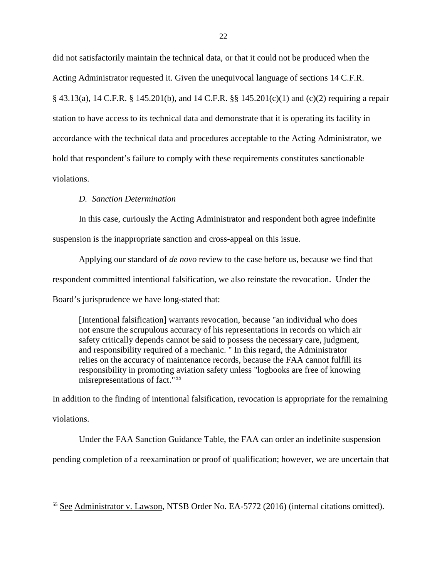did not satisfactorily maintain the technical data, or that it could not be produced when the Acting Administrator requested it. Given the unequivocal language of sections 14 C.F.R. § 43.13(a), 14 C.F.R. § 145.201(b), and 14 C.F.R. §§ 145.201(c)(1) and (c)(2) requiring a repair station to have access to its technical data and demonstrate that it is operating its facility in accordance with the technical data and procedures acceptable to the Acting Administrator, we hold that respondent's failure to comply with these requirements constitutes sanctionable violations.

## *D. Sanction Determination*

l

In this case, curiously the Acting Administrator and respondent both agree indefinite

suspension is the inappropriate sanction and cross-appeal on this issue.

Applying our standard of *de novo* review to the case before us, because we find that respondent committed intentional falsification, we also reinstate the revocation. Under the Board's jurisprudence we have long-stated that:

[Intentional falsification] warrants revocation, because "an individual who does not ensure the scrupulous accuracy of his representations in records on which air safety critically depends cannot be said to possess the necessary care, judgment, and responsibility required of a mechanic. " In this regard, the Administrator relies on the accuracy of maintenance records, because the FAA cannot fulfill its responsibility in promoting aviation safety unless "logbooks are free of knowing misrepresentations of fact."[55](#page-21-0)

In addition to the finding of intentional falsification, revocation is appropriate for the remaining violations.

Under the FAA Sanction Guidance Table, the FAA can order an indefinite suspension

pending completion of a reexamination or proof of qualification; however, we are uncertain that

<span id="page-21-0"></span><sup>55</sup> See Administrator v. Lawson, NTSB Order No. EA-5772 (2016) (internal citations omitted).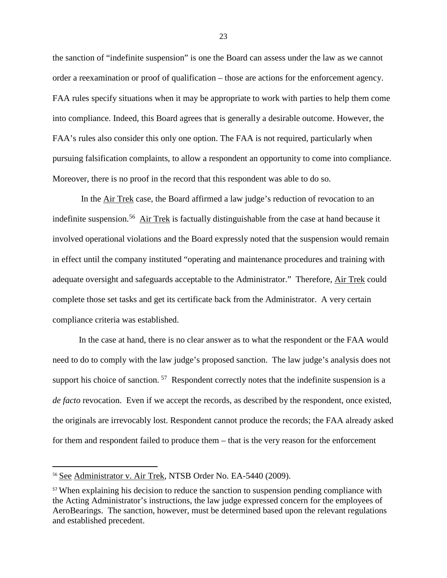the sanction of "indefinite suspension" is one the Board can assess under the law as we cannot order a reexamination or proof of qualification – those are actions for the enforcement agency. FAA rules specify situations when it may be appropriate to work with parties to help them come into compliance. Indeed, this Board agrees that is generally a desirable outcome. However, the FAA's rules also consider this only one option. The FAA is not required, particularly when pursuing falsification complaints, to allow a respondent an opportunity to come into compliance. Moreover, there is no proof in the record that this respondent was able to do so.

In the Air Trek case, the Board affirmed a law judge's reduction of revocation to an indefinite suspension.<sup>[56](#page-22-0)</sup> Air Trek is factually distinguishable from the case at hand because it involved operational violations and the Board expressly noted that the suspension would remain in effect until the company instituted "operating and maintenance procedures and training with adequate oversight and safeguards acceptable to the Administrator." Therefore, Air Trek could complete those set tasks and get its certificate back from the Administrator. A very certain compliance criteria was established.

In the case at hand, there is no clear answer as to what the respondent or the FAA would need to do to comply with the law judge's proposed sanction. The law judge's analysis does not support his choice of sanction.  $57$  Respondent correctly notes that the indefinite suspension is a *de facto* revocation. Even if we accept the records, as described by the respondent, once existed, the originals are irrevocably lost. Respondent cannot produce the records; the FAA already asked for them and respondent failed to produce them – that is the very reason for the enforcement

 $\overline{\phantom{a}}$ 

<span id="page-22-0"></span><sup>&</sup>lt;sup>56</sup> See Administrator v. Air Trek, NTSB Order No. EA-5440 (2009).

<span id="page-22-1"></span><sup>&</sup>lt;sup>57</sup> When explaining his decision to reduce the sanction to suspension pending compliance with the Acting Administrator's instructions, the law judge expressed concern for the employees of AeroBearings. The sanction, however, must be determined based upon the relevant regulations and established precedent.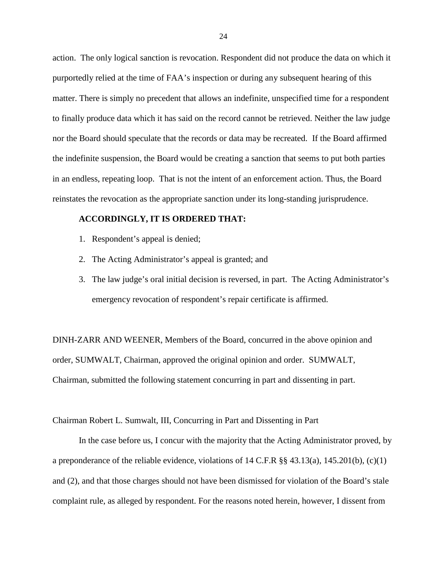action. The only logical sanction is revocation. Respondent did not produce the data on which it purportedly relied at the time of FAA's inspection or during any subsequent hearing of this matter. There is simply no precedent that allows an indefinite, unspecified time for a respondent to finally produce data which it has said on the record cannot be retrieved. Neither the law judge nor the Board should speculate that the records or data may be recreated. If the Board affirmed the indefinite suspension, the Board would be creating a sanction that seems to put both parties in an endless, repeating loop. That is not the intent of an enforcement action. Thus, the Board reinstates the revocation as the appropriate sanction under its long-standing jurisprudence.

### **ACCORDINGLY, IT IS ORDERED THAT:**

- 1. Respondent's appeal is denied;
- 2. The Acting Administrator's appeal is granted; and
- 3. The law judge's oral initial decision is reversed, in part. The Acting Administrator's emergency revocation of respondent's repair certificate is affirmed.

DINH-ZARR AND WEENER, Members of the Board, concurred in the above opinion and order, SUMWALT, Chairman, approved the original opinion and order. SUMWALT, Chairman, submitted the following statement concurring in part and dissenting in part.

Chairman Robert L. Sumwalt, III, Concurring in Part and Dissenting in Part

In the case before us, I concur with the majority that the Acting Administrator proved, by a preponderance of the reliable evidence, violations of 14 C.F.R §§ 43.13(a), 145.201(b), (c)(1) and (2), and that those charges should not have been dismissed for violation of the Board's stale complaint rule, as alleged by respondent. For the reasons noted herein, however, I dissent from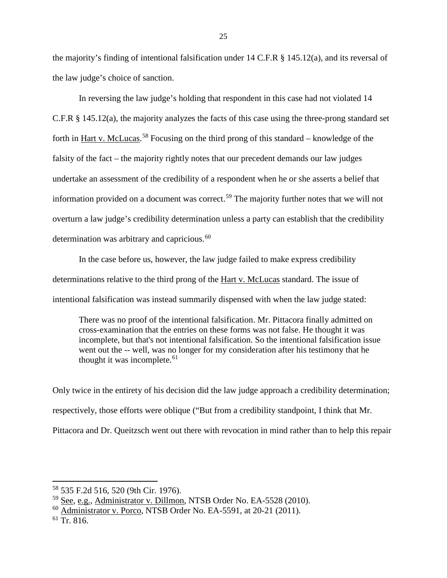the majority's finding of intentional falsification under 14 C.F.R § 145.12(a), and its reversal of the law judge's choice of sanction.

In reversing the law judge's holding that respondent in this case had not violated 14 C.F.R § 145.12(a), the majority analyzes the facts of this case using the three-prong standard set forth in Hart v. McLucas.<sup>[58](#page-24-0)</sup> Focusing on the third prong of this standard – knowledge of the falsity of the fact – the majority rightly notes that our precedent demands our law judges undertake an assessment of the credibility of a respondent when he or she asserts a belief that information provided on a document was correct.<sup>[59](#page-24-1)</sup> The majority further notes that we will not overturn a law judge's credibility determination unless a party can establish that the credibility determination was arbitrary and capricious.<sup>[60](#page-24-2)</sup>

In the case before us, however, the law judge failed to make express credibility determinations relative to the third prong of the Hart v. McLucas standard. The issue of intentional falsification was instead summarily dispensed with when the law judge stated:

There was no proof of the intentional falsification. Mr. Pittacora finally admitted on cross-examination that the entries on these forms was not false. He thought it was incomplete, but that's not intentional falsification. So the intentional falsification issue went out the -- well, was no longer for my consideration after his testimony that he thought it was incomplete. $61$ 

Only twice in the entirety of his decision did the law judge approach a credibility determination; respectively, those efforts were oblique ("But from a credibility standpoint, I think that Mr. Pittacora and Dr. Queitzsch went out there with revocation in mind rather than to help this repair

 $\overline{\phantom{a}}$ 

<span id="page-24-0"></span><sup>58</sup> 535 F.2d 516, 520 (9th Cir. 1976).

<span id="page-24-1"></span><sup>59</sup> See, e.g., Administrator v. Dillmon, NTSB Order No. EA-5528 (2010).

<span id="page-24-2"></span><sup>60</sup> Administrator v. Porco, NTSB Order No. EA-5591, at 20-21 (2011).

<span id="page-24-3"></span> $61$  Tr. 816.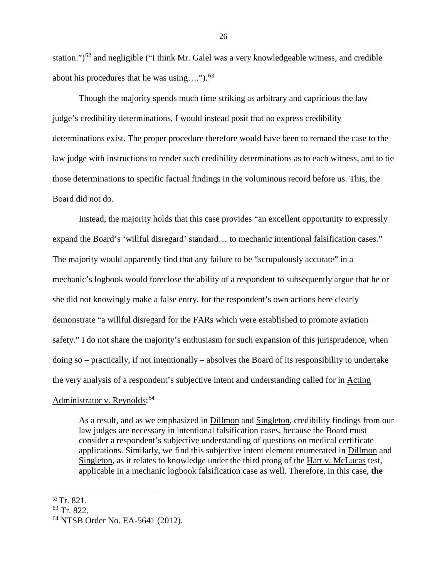station.") $^{62}$  $^{62}$  $^{62}$  and negligible ("I think Mr. Galel was a very knowledgeable witness, and credible about his procedures that he was using…."). [63](#page-25-1)

Though the majority spends much time striking as arbitrary and capricious the law judge's credibility determinations, I would instead posit that no express credibility determinations exist. The proper procedure therefore would have been to remand the case to the law judge with instructions to render such credibility determinations as to each witness, and to tie those determinations to specific factual findings in the voluminous record before us. This, the Board did not do.

Instead, the majority holds that this case provides "an excellent opportunity to expressly expand the Board's 'willful disregard' standard… to mechanic intentional falsification cases." The majority would apparently find that any failure to be "scrupulously accurate" in a mechanic's logbook would foreclose the ability of a respondent to subsequently argue that he or she did not knowingly make a false entry, for the respondent's own actions here clearly demonstrate "a willful disregard for the FARs which were established to promote aviation safety." I do not share the majority's enthusiasm for such expansion of this jurisprudence, when doing so – practically, if not intentionally – absolves the Board of its responsibility to undertake the very analysis of a respondent's subjective intent and understanding called for in Acting

# Administrator v. Reynolds:<sup>[64](#page-25-2)</sup>

As a result, and as we emphasized in Dillmon and Singleton, credibility findings from our law judges are necessary in intentional falsification cases, because the Board must consider a respondent's subjective understanding of questions on medical certificate applications. Similarly, we find this subjective intent element enumerated in Dillmon and Singleton, as it relates to knowledge under the third prong of the Hart v. McLucas test, applicable in a mechanic logbook falsification case as well. Therefore, in this case, **the** 

<span id="page-25-0"></span> <sup>62</sup> Tr. 821.

<span id="page-25-1"></span><sup>63</sup> Tr. 822.

<span id="page-25-2"></span><sup>64</sup> NTSB Order No. EA-5641 (2012).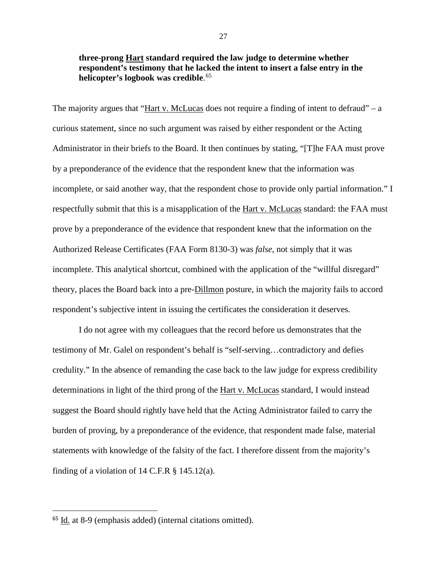**three-prong Hart standard required the law judge to determine whether respondent's testimony that he lacked the intent to insert a false entry in the helicopter's logbook was credible**. [65](#page-26-0)

The majority argues that "Hart v. McLucas does not require a finding of intent to defraud" – a curious statement, since no such argument was raised by either respondent or the Acting Administrator in their briefs to the Board. It then continues by stating, "[T]he FAA must prove by a preponderance of the evidence that the respondent knew that the information was incomplete, or said another way, that the respondent chose to provide only partial information." I respectfully submit that this is a misapplication of the Hart v. McLucas standard: the FAA must prove by a preponderance of the evidence that respondent knew that the information on the Authorized Release Certificates (FAA Form 8130-3) was *false*, not simply that it was incomplete. This analytical shortcut, combined with the application of the "willful disregard" theory, places the Board back into a pre-Dillmon posture, in which the majority fails to accord respondent's subjective intent in issuing the certificates the consideration it deserves.

I do not agree with my colleagues that the record before us demonstrates that the testimony of Mr. Galel on respondent's behalf is "self-serving…contradictory and defies credulity." In the absence of remanding the case back to the law judge for express credibility determinations in light of the third prong of the Hart v. McLucas standard, I would instead suggest the Board should rightly have held that the Acting Administrator failed to carry the burden of proving, by a preponderance of the evidence, that respondent made false, material statements with knowledge of the falsity of the fact. I therefore dissent from the majority's finding of a violation of 14 C.F.R  $\S$  145.12(a).

<span id="page-26-0"></span> <sup>65</sup> Id. at 8-9 (emphasis added) (internal citations omitted).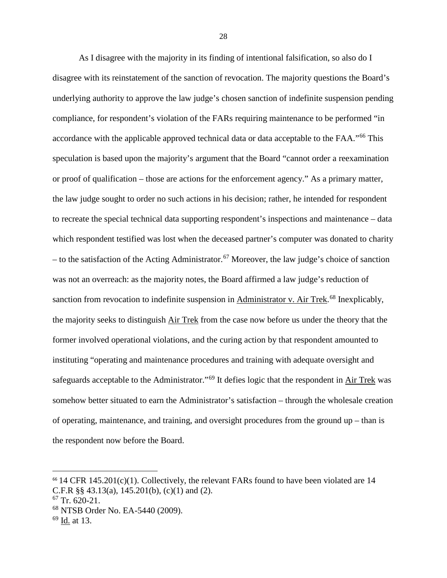As I disagree with the majority in its finding of intentional falsification, so also do I disagree with its reinstatement of the sanction of revocation. The majority questions the Board's underlying authority to approve the law judge's chosen sanction of indefinite suspension pending compliance, for respondent's violation of the FARs requiring maintenance to be performed "in accordance with the applicable approved technical data or data acceptable to the FAA."[66](#page-27-0) This speculation is based upon the majority's argument that the Board "cannot order a reexamination or proof of qualification – those are actions for the enforcement agency." As a primary matter, the law judge sought to order no such actions in his decision; rather, he intended for respondent to recreate the special technical data supporting respondent's inspections and maintenance – data which respondent testified was lost when the deceased partner's computer was donated to charity – to the satisfaction of the Acting Administrator.<sup>[67](#page-27-1)</sup> Moreover, the law judge's choice of sanction was not an overreach: as the majority notes, the Board affirmed a law judge's reduction of sanction from revocation to indefinite suspension in Administrator v. Air Trek.<sup>[68](#page-27-2)</sup> Inexplicably, the majority seeks to distinguish Air Trek from the case now before us under the theory that the former involved operational violations, and the curing action by that respondent amounted to instituting "operating and maintenance procedures and training with adequate oversight and safeguards acceptable to the Administrator."<sup>[69](#page-27-3)</sup> It defies logic that the respondent in Air Trek was somehow better situated to earn the Administrator's satisfaction – through the wholesale creation of operating, maintenance, and training, and oversight procedures from the ground up – than is the respondent now before the Board.

<span id="page-27-0"></span> $66$  14 CFR 145.201(c)(1). Collectively, the relevant FARs found to have been violated are 14 C.F.R §§ 43.13(a), 145.201(b), (c)(1) and (2).

<span id="page-27-1"></span> $67$  Tr. 620-21.

<span id="page-27-2"></span><sup>68</sup> NTSB Order No. EA-5440 (2009).

<span id="page-27-3"></span> $69$  Id. at 13.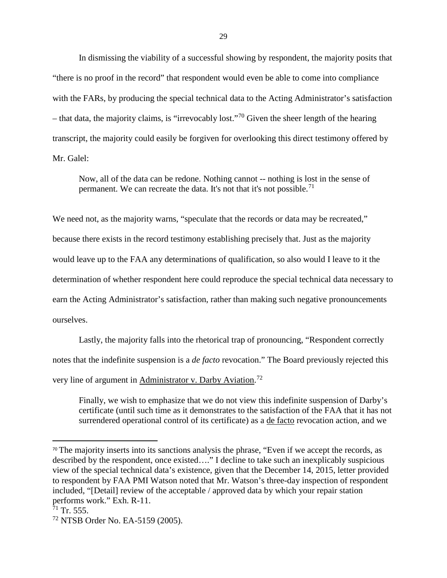In dismissing the viability of a successful showing by respondent, the majority posits that "there is no proof in the record" that respondent would even be able to come into compliance with the FARs, by producing the special technical data to the Acting Administrator's satisfaction – that data, the majority claims, is "irrevocably lost."<sup>[70](#page-28-0)</sup> Given the sheer length of the hearing transcript, the majority could easily be forgiven for overlooking this direct testimony offered by Mr. Galel:

Now, all of the data can be redone. Nothing cannot -- nothing is lost in the sense of permanent. We can recreate the data. It's not that it's not possible.<sup>[71](#page-28-1)</sup>

We need not, as the majority warns, "speculate that the records or data may be recreated," because there exists in the record testimony establishing precisely that. Just as the majority would leave up to the FAA any determinations of qualification, so also would I leave to it the determination of whether respondent here could reproduce the special technical data necessary to earn the Acting Administrator's satisfaction, rather than making such negative pronouncements ourselves.

Lastly, the majority falls into the rhetorical trap of pronouncing, "Respondent correctly notes that the indefinite suspension is a *de facto* revocation." The Board previously rejected this very line of argument in Administrator v. Darby Aviation.<sup>[72](#page-28-2)</sup>

Finally, we wish to emphasize that we do not view this indefinite suspension of Darby's certificate (until such time as it demonstrates to the satisfaction of the FAA that it has not surrendered operational control of its certificate) as a de facto revocation action, and we

<span id="page-28-0"></span><sup>&</sup>lt;sup>70</sup> The majority inserts into its sanctions analysis the phrase, "Even if we accept the records, as described by the respondent, once existed…." I decline to take such an inexplicably suspicious view of the special technical data's existence, given that the December 14, 2015, letter provided to respondent by FAA PMI Watson noted that Mr. Watson's three-day inspection of respondent included, "[Detail] review of the acceptable / approved data by which your repair station performs work." Exh. R-11.

<span id="page-28-1"></span> $71$  Tr. 555.

<span id="page-28-2"></span><sup>72</sup> NTSB Order No. EA-5159 (2005).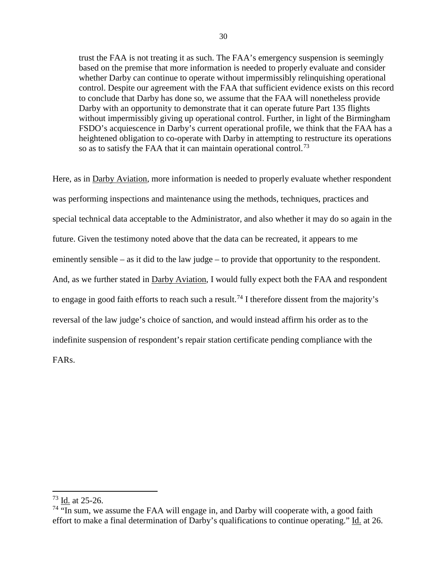trust the FAA is not treating it as such. The FAA's emergency suspension is seemingly based on the premise that more information is needed to properly evaluate and consider whether Darby can continue to operate without impermissibly relinquishing operational control. Despite our agreement with the FAA that sufficient evidence exists on this record to conclude that Darby has done so, we assume that the FAA will nonetheless provide Darby with an opportunity to demonstrate that it can operate future Part 135 flights without impermissibly giving up operational control. Further, in light of the Birmingham FSDO's acquiescence in Darby's current operational profile, we think that the FAA has a heightened obligation to co-operate with Darby in attempting to restructure its operations so as to satisfy the FAA that it can maintain operational control.<sup>[73](#page-29-0)</sup>

Here, as in Darby Aviation, more information is needed to properly evaluate whether respondent was performing inspections and maintenance using the methods, techniques, practices and special technical data acceptable to the Administrator, and also whether it may do so again in the future. Given the testimony noted above that the data can be recreated, it appears to me eminently sensible – as it did to the law judge – to provide that opportunity to the respondent. And, as we further stated in Darby Aviation, I would fully expect both the FAA and respondent to engage in good faith efforts to reach such a result.<sup>[74](#page-29-1)</sup> I therefore dissent from the majority's reversal of the law judge's choice of sanction, and would instead affirm his order as to the indefinite suspension of respondent's repair station certificate pending compliance with the FARs.

 $\overline{\phantom{a}}$ 

<span id="page-29-0"></span> $^{73}$  Id. at 25-26.

<span id="page-29-1"></span> $74$  "In sum, we assume the FAA will engage in, and Darby will cooperate with, a good faith effort to make a final determination of Darby's qualifications to continue operating." Id. at 26.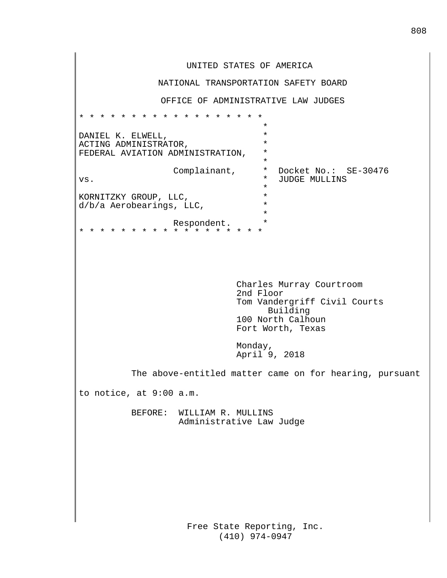Free State Reporting, Inc. (410) 974-0947 UNITED STATES OF AMERICA NATIONAL TRANSPORTATION SAFETY BOARD OFFICE OF ADMINISTRATIVE LAW JUDGES \* \* \* \* \* \* \* \* \* \* \* \* \* \* \* \* \* \* \* DANIEL K. ELWELL, \* ACTING ADMINISTRATOR,  $*$ FEDERAL AVIATION ADMINISTRATION,  $*$ vs.  $\begin{array}{cccc}\n\text{Complainant,} & * & \text{Docket No.:} & \text{SE-30476} \\
\text{vs.} & * & \text{JUDGE MULLINS}\n\end{array}$ vers. \* XORNITZKY GROUP, LLC, \* \* d/b/a Aerobearings, LLC, \* \* \* \* \* Respondent. \* \* \* \* \* \* \* \* \* \* \* \* \* \* \* \* \* \* \* Charles Murray Courtroom 2nd Floor Tom Vandergriff Civil Courts Building 100 North Calhoun Fort Worth, Texas Monday, April 9, 2018 The above-entitled matter came on for hearing, pursuant to notice, at 9:00 a.m. BEFORE: WILLIAM R. MULLINS Administrative Law Judge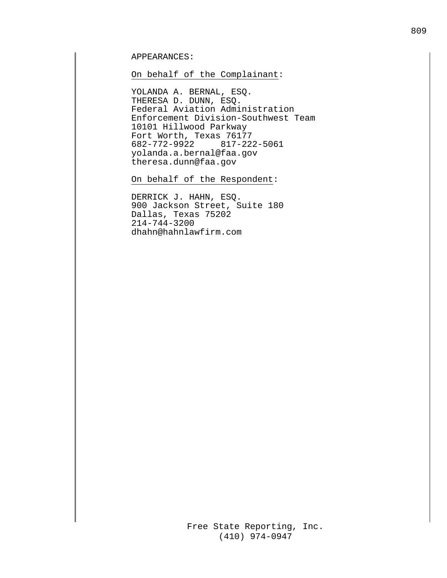## APPEARANCES:

#### On behalf of the Complainant:

YOLANDA A. BERNAL, ESQ. THERESA D. DUNN, ESQ. Federal Aviation Administration Enforcement Division-Southwest Team 10101 Hillwood Parkway Fort Worth, Texas 76177 682-772-9922 817-222-5061 yolanda.a.bernal@faa.gov theresa.dunn@faa.gov

On behalf of the Respondent:

DERRICK J. HAHN, ESQ. 900 Jackson Street, Suite 180 Dallas, Texas 75202 214-744-3200 dhahn@hahnlawfirm.com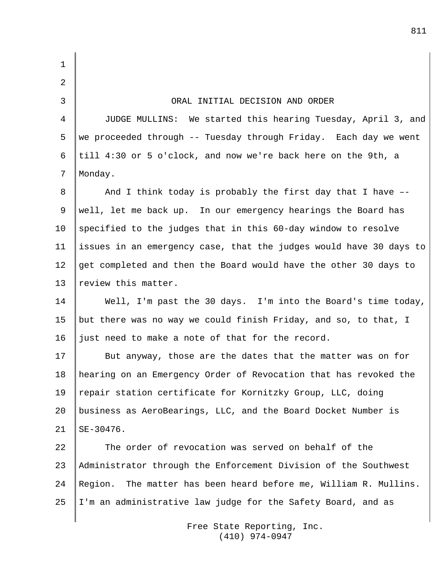Free State Reporting, Inc. 1 2 3 ORAL INITIAL DECISION AND ORDER 4 JUDGE MULLINS: We started this hearing Tuesday, April 3, and 5 we proceeded through -- Tuesday through Friday. Each day we went 6  $\vert$ till 4:30 or 5 o'clock, and now we're back here on the 9th, a 7 | Monday.  $8$  | And I think today is probably the first day that I have --9 well, let me back up. In our emergency hearings the Board has 10  $\parallel$  specified to the judges that in this 60-day window to resolve 11 issues in an emergency case, that the judges would have 30 days to 12 get completed and then the Board would have the other 30 days to 13  $|$  review this matter. 14 Well, I'm past the 30 days. I'm into the Board's time today, 15 | but there was no way we could finish Friday, and so, to that, I 16 just need to make a note of that for the record. 17 But anyway, those are the dates that the matter was on for 18 hearing on an Emergency Order of Revocation that has revoked the 19 | repair station certificate for Kornitzky Group, LLC, doing 20 business as AeroBearings, LLC, and the Board Docket Number is  $21$  SE-30476. 22 The order of revocation was served on behalf of the 23 Administrator through the Enforcement Division of the Southwest 24 Region. The matter has been heard before me, William R. Mullins. 25 I'm an administrative law judge for the Safety Board, and as

(410) 974-0947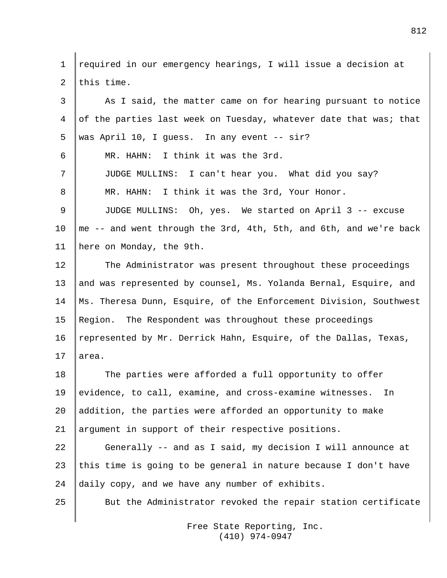1 required in our emergency hearings, I will issue a decision at 2 Ithis time. 3 As I said, the matter came on for hearing pursuant to notice 4 of the parties last week on Tuesday, whatever date that was; that 5 Was April 10, I quess. In any event  $-$  sir? 6 MR. HAHN: I think it was the 3rd. 7 JUDGE MULLINS: I can't hear you. What did you say? 8 MR. HAHN: I think it was the 3rd, Your Honor. 9 JUDGE MULLINS: Oh, yes. We started on April 3 -- excuse 10 | me -- and went through the 3rd, 4th, 5th, and 6th, and we're back 11 | here on Monday, the 9th. 12 The Administrator was present throughout these proceedings 13 || and was represented by counsel, Ms. Yolanda Bernal, Esquire, and 14 Ms. Theresa Dunn, Esquire, of the Enforcement Division, Southwest 15 Region. The Respondent was throughout these proceedings 16 represented by Mr. Derrick Hahn, Esquire, of the Dallas, Texas,  $17$  area. 18 The parties were afforded a full opportunity to offer 19 | evidence, to call, examine, and cross-examine witnesses. In 20 addition, the parties were afforded an opportunity to make 21 argument in support of their respective positions. 22 Generally -- and as I said, my decision I will announce at 23 | this time is going to be general in nature because I don't have 24 daily copy, and we have any number of exhibits. 25 But the Administrator revoked the repair station certificate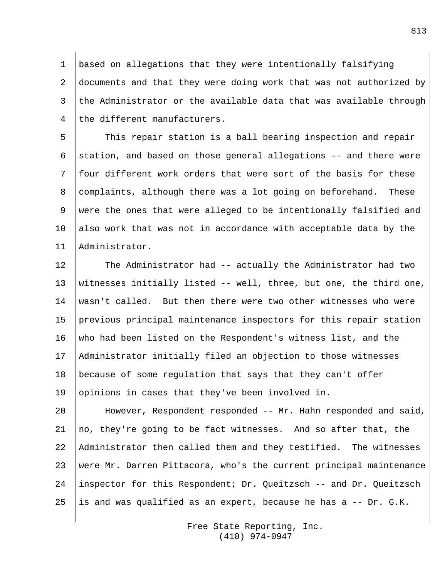based on allegations that they were intentionally falsifying documents and that they were doing work that was not authorized by the Administrator or the available data that was available through 4 I the different manufacturers.

5 This repair station is a ball bearing inspection and repair 6  $\vert$  station, and based on those general allegations -- and there were 7 Ifour different work orders that were sort of the basis for these 8  $|$  complaints, although there was a lot going on beforehand. These 9 | were the ones that were alleged to be intentionally falsified and 10 also work that was not in accordance with acceptable data by the 11 Administrator.

12 The Administrator had -- actually the Administrator had two witnesses initially listed -- well, three, but one, the third one, 14 wasn't called. But then there were two other witnesses who were previous principal maintenance inspectors for this repair station who had been listed on the Respondent's witness list, and the Administrator initially filed an objection to those witnesses because of some regulation that says that they can't offer 19 | opinions in cases that they've been involved in.

20 However, Respondent responded -- Mr. Hahn responded and said, no, they're going to be fact witnesses. And so after that, the Administrator then called them and they testified. The witnesses were Mr. Darren Pittacora, who's the current principal maintenance inspector for this Respondent; Dr. Queitzsch -- and Dr. Queitzsch 25 is and was qualified as an expert, because he has a  $-$ - Dr. G.K.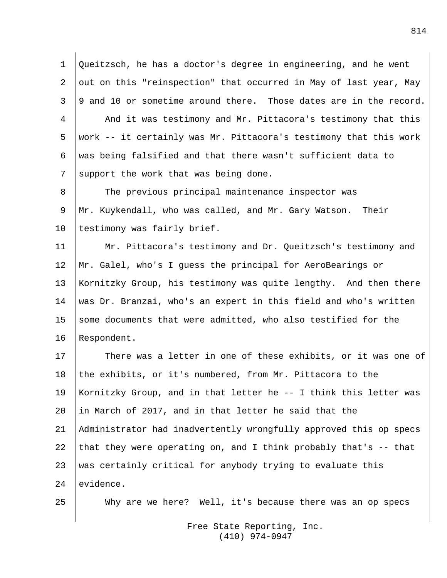1 Queitzsch, he has a doctor's degree in engineering, and he went 2 | out on this "reinspection" that occurred in May of last year, May  $3 \parallel 9$  and 10 or sometime around there. Those dates are in the record. 4 And it was testimony and Mr. Pittacora's testimony that this 5 Work -- it certainly was Mr. Pittacora's testimony that this work 6 was being falsified and that there wasn't sufficient data to 7 support the work that was being done.

8 The previous principal maintenance inspector was 9 Mr. Kuykendall, who was called, and Mr. Gary Watson. Their 10 | testimony was fairly brief.

11 Mr. Pittacora's testimony and Dr. Queitzsch's testimony and 12 Mr. Galel, who's I guess the principal for AeroBearings or 13 Kornitzky Group, his testimony was quite lengthy. And then there 14 was Dr. Branzai, who's an expert in this field and who's written 15  $\parallel$  some documents that were admitted, who also testified for the 16 Respondent.

17 There was a letter in one of these exhibits, or it was one of 18 the exhibits, or it's numbered, from Mr. Pittacora to the Kornitzky Group, and in that letter he -- I think this letter was in March of 2017, and in that letter he said that the Administrator had inadvertently wrongfully approved this op specs 22 | that they were operating on, and I think probably that's  $-$  that was certainly critical for anybody trying to evaluate this evidence.

25 Why are we here? Well, it's because there was an op specs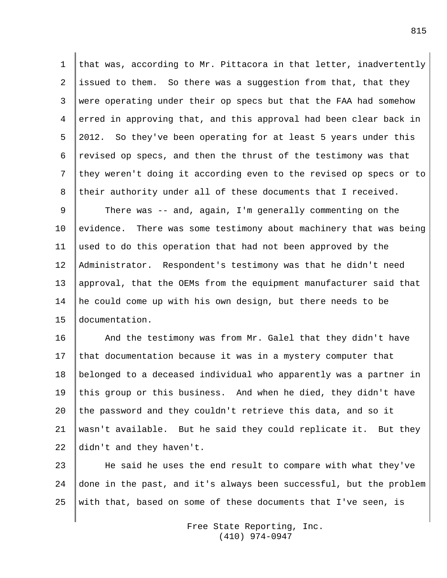1 that was, according to Mr. Pittacora in that letter, inadvertently 2 issued to them. So there was a suggestion from that, that they 3 were operating under their op specs but that the FAA had somehow 4 | erred in approving that, and this approval had been clear back in 5 2012. So they've been operating for at least 5 years under this 6  $r$  revised op specs, and then the thrust of the testimony was that 7 they weren't doing it according even to the revised op specs or to 8 their authority under all of these documents that I received.

9 There was -- and, again, I'm generally commenting on the 10 evidence. There was some testimony about machinery that was being 11 used to do this operation that had not been approved by the 12 Administrator. Respondent's testimony was that he didn't need 13 approval, that the OEMs from the equipment manufacturer said that 14 he could come up with his own design, but there needs to be 15 documentation.

16 And the testimony was from Mr. Galel that they didn't have 17  $\|$  that documentation because it was in a mystery computer that 18 belonged to a deceased individual who apparently was a partner in 19 this group or this business. And when he died, they didn't have 20 the password and they couldn't retrieve this data, and so it 21 wasn't available. But he said they could replicate it. But they 22  $\parallel$  didn't and they haven't.

23 He said he uses the end result to compare with what they've 24 done in the past, and it's always been successful, but the problem 25 | with that, based on some of these documents that I've seen, is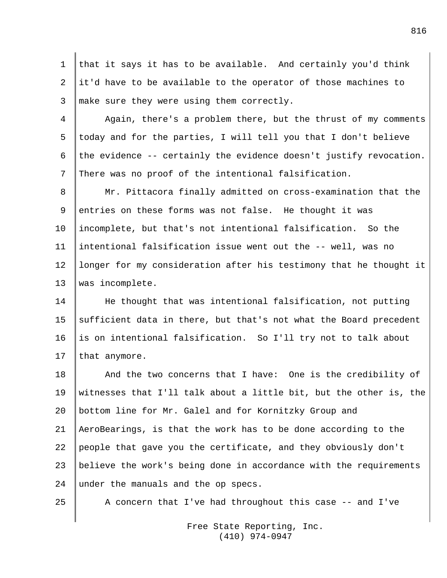1 that it says it has to be available. And certainly you'd think 2  $\vert$ it'd have to be available to the operator of those machines to 3 make sure they were using them correctly.

4 Again, there's a problem there, but the thrust of my comments 5 today and for the parties, I will tell you that I don't believe 6 the evidence -- certainly the evidence doesn't justify revocation. 7 There was no proof of the intentional falsification.

8 Mr. Pittacora finally admitted on cross-examination that the 9 entries on these forms was not false. He thought it was 10 incomplete, but that's not intentional falsification. So the 11 intentional falsification issue went out the -- well, was no 12 longer for my consideration after his testimony that he thought it 13 was incomplete.

14 He thought that was intentional falsification, not putting 15 sufficient data in there, but that's not what the Board precedent 16 is on intentional falsification. So I'll try not to talk about 17 | that anymore.

18 And the two concerns that I have: One is the credibility of witnesses that I'll talk about a little bit, but the other is, the bottom line for Mr. Galel and for Kornitzky Group and AeroBearings, is that the work has to be done according to the people that gave you the certificate, and they obviously don't believe the work's being done in accordance with the requirements 24 under the manuals and the op specs.

25  $\parallel$  A concern that I've had throughout this case -- and I've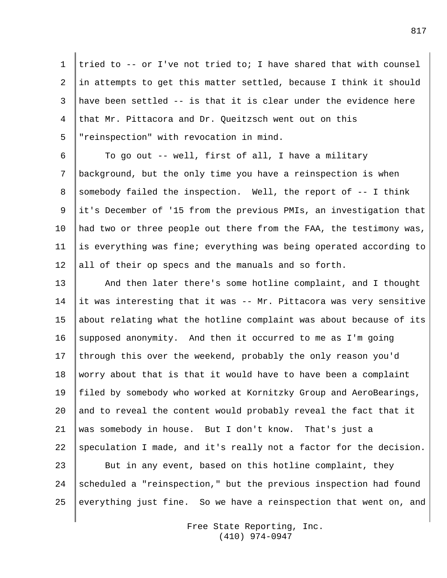1 tried to  $-$ - or I've not tried to; I have shared that with counsel 2  $\parallel$  in attempts to get this matter settled, because I think it should 3 have been settled -- is that it is clear under the evidence here 4 that Mr. Pittacora and Dr. Oueitzsch went out on this 5 "reinspection" with revocation in mind.

 $6 \parallel$  To go out -- well, first of all, I have a military 7 background, but the only time you have a reinspection is when 8 Somebody failed the inspection. Well, the report of  $-$ - I think 9  $\parallel$ it's December of '15 from the previous PMIs, an investigation that 10 | had two or three people out there from the FAA, the testimony was, 11 is everything was fine; everything was being operated according to 12 all of their op specs and the manuals and so forth.

13 And then later there's some hotline complaint, and I thought 14 it was interesting that it was  $-$  Mr. Pittacora was very sensitive 15 about relating what the hotline complaint was about because of its 16 supposed anonymity. And then it occurred to me as I'm going 17 through this over the weekend, probably the only reason you'd 18 worry about that is that it would have to have been a complaint 19 | filed by somebody who worked at Kornitzky Group and AeroBearings, 20 and to reveal the content would probably reveal the fact that it 21 was somebody in house. But I don't know. That's just a 22 Speculation I made, and it's really not a factor for the decision. 23 But in any event, based on this hotline complaint, they 24 scheduled a "reinspection," but the previous inspection had found 25 everything just fine. So we have a reinspection that went on, and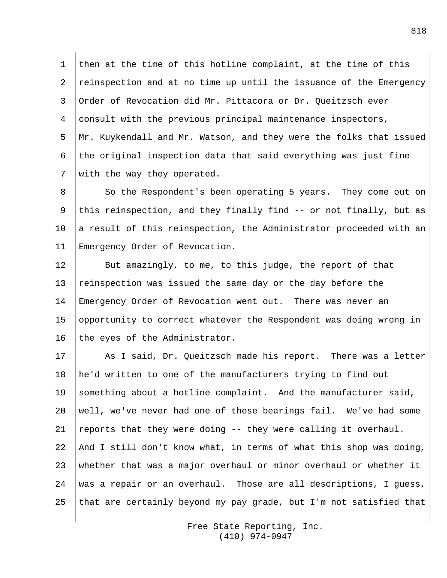1 then at the time of this hotline complaint, at the time of this 2 reinspection and at no time up until the issuance of the Emergency 3 Order of Revocation did Mr. Pittacora or Dr. Queitzsch ever 4 consult with the previous principal maintenance inspectors, 5 Mr. Kuykendall and Mr. Watson, and they were the folks that issued 6 the original inspection data that said everything was just fine 7 with the way they operated.

8 So the Respondent's been operating 5 years. They come out on 9 this reinspection, and they finally find  $-$  or not finally, but as 10  $\parallel$  a result of this reinspection, the Administrator proceeded with an 11 | Emergency Order of Revocation.

12 But amazingly, to me, to this judge, the report of that 13 reinspection was issued the same day or the day before the 14 Emergency Order of Revocation went out. There was never an 15 opportunity to correct whatever the Respondent was doing wrong in 16 the eyes of the Administrator.

17 As I said, Dr. Queitzsch made his report. There was a letter 18 he'd written to one of the manufacturers trying to find out 19 something about a hotline complaint. And the manufacturer said, 20 well, we've never had one of these bearings fail. We've had some 21 | reports that they were doing  $-$ - they were calling it overhaul. 22 And I still don't know what, in terms of what this shop was doing, 23 whether that was a major overhaul or minor overhaul or whether it 24 was a repair or an overhaul. Those are all descriptions, I quess, 25 | that are certainly beyond my pay grade, but I'm not satisfied that

> Free State Reporting, Inc. (410) 974-0947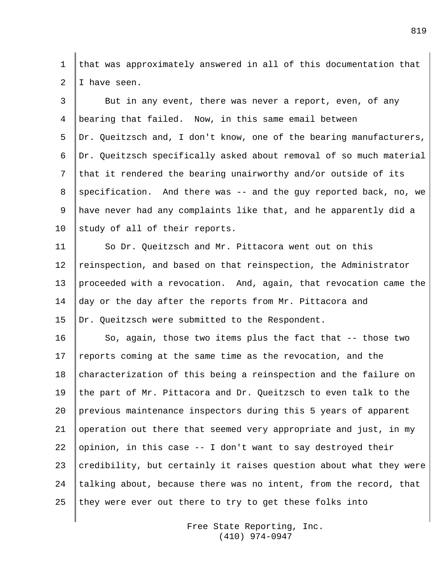1 that was approximately answered in all of this documentation that  $2 \parallel I$  have seen.

 $3 \parallel$  But in any event, there was never a report, even, of any 4 bearing that failed. Now, in this same email between 5 Dr. Queitzsch and, I don't know, one of the bearing manufacturers, 6 Dr. Queitzsch specifically asked about removal of so much material 7 that it rendered the bearing unairworthy and/or outside of its 8 specification. And there was  $-$  and the guy reported back, no, we 9 have never had any complaints like that, and he apparently did a 10 study of all of their reports.

11 So Dr. Queitzsch and Mr. Pittacora went out on this 12 reinspection, and based on that reinspection, the Administrator 13 proceeded with a revocation. And, again, that revocation came the 14 day or the day after the reports from Mr. Pittacora and 15 | Dr. Queitzsch were submitted to the Respondent.

16 So, again, those two items plus the fact that  $-$  those two 17 reports coming at the same time as the revocation, and the 18 characterization of this being a reinspection and the failure on 19 the part of Mr. Pittacora and Dr. Queitzsch to even talk to the 20 previous maintenance inspectors during this 5 years of apparent 21 operation out there that seemed very appropriate and just, in my 22 opinion, in this case  $-1$  don't want to say destroyed their 23 credibility, but certainly it raises question about what they were 24  $\parallel$  talking about, because there was no intent, from the record, that 25 they were ever out there to try to get these folks into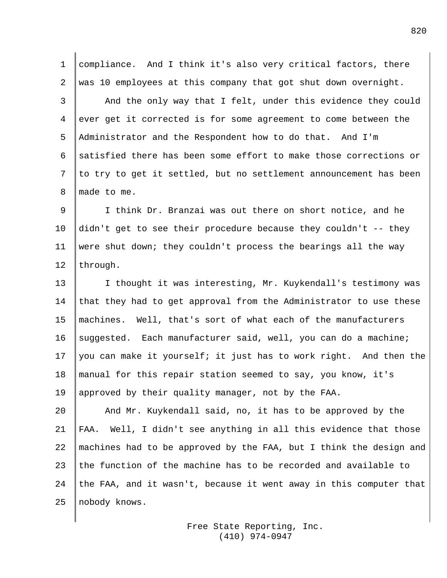1 compliance. And I think it's also very critical factors, there 2 was 10 employees at this company that got shut down overnight. 3 And the only way that I felt, under this evidence they could 4 ever get it corrected is for some agreement to come between the 5 Administrator and the Respondent how to do that. And I'm 6 satisfied there has been some effort to make those corrections or  $7$  to try to get it settled, but no settlement announcement has been 8 I made to me.

 I think Dr. Branzai was out there on short notice, and he didn't get to see their procedure because they couldn't -- they were shut down; they couldn't process the bearings all the way 12 | through.

13 | I thought it was interesting, Mr. Kuykendall's testimony was 14 that they had to get approval from the Administrator to use these 15 machines. Well, that's sort of what each of the manufacturers 16 suggested. Each manufacturer said, well, you can do a machine; 17 | you can make it yourself; it just has to work right. And then the 18 manual for this repair station seemed to say, you know, it's 19 approved by their quality manager, not by the FAA.

20 And Mr. Kuykendall said, no, it has to be approved by the 21  $\parallel$  FAA. Well, I didn't see anything in all this evidence that those 22  $\parallel$  machines had to be approved by the FAA, but I think the design and 23 the function of the machine has to be recorded and available to 24 the FAA, and it wasn't, because it went away in this computer that 25 || nobody knows.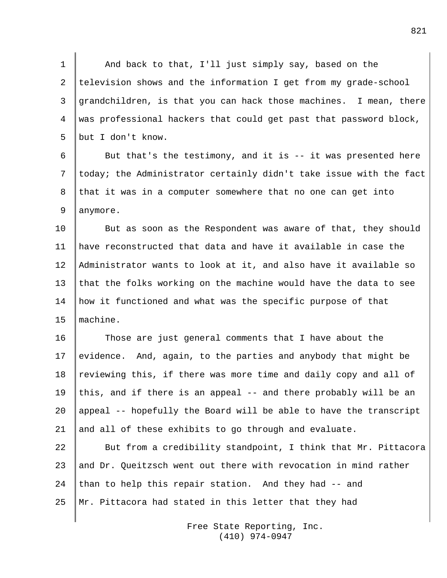1 And back to that, I'll just simply say, based on the 2 television shows and the information I get from my grade-school 3 grandchildren, is that you can hack those machines. I mean, there 4 was professional hackers that could get past that password block, 5 but I don't know.

6  $\parallel$  But that's the testimony, and it is -- it was presented here 7 | today; the Administrator certainly didn't take issue with the fact 8 that it was in a computer somewhere that no one can get into 9 anymore.

10 But as soon as the Respondent was aware of that, they should 11 have reconstructed that data and have it available in case the 12 Administrator wants to look at it, and also have it available so 13  $\parallel$  that the folks working on the machine would have the data to see 14 how it functioned and what was the specific purpose of that 15 machine.

16 Those are just general comments that I have about the 17 evidence. And, again, to the parties and anybody that might be 18  $\parallel$  reviewing this, if there was more time and daily copy and all of 19 | this, and if there is an appeal  $-$  and there probably will be an 20 appeal -- hopefully the Board will be able to have the transcript 21 and all of these exhibits to go through and evaluate.

22 But from a credibility standpoint, I think that Mr. Pittacora 23  $\parallel$  and Dr. Queitzsch went out there with revocation in mind rather 24 than to help this repair station. And they had  $-$  and 25 Mr. Pittacora had stated in this letter that they had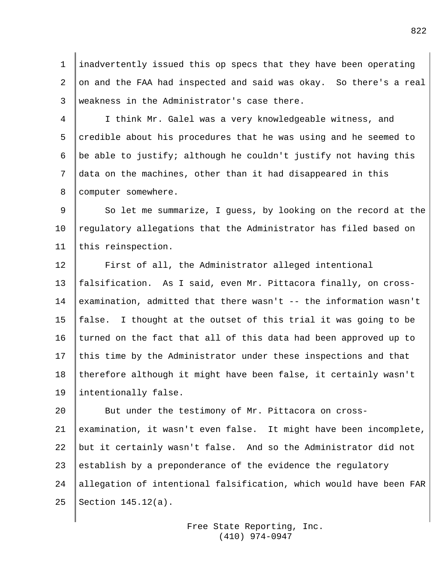1 inadvertently issued this op specs that they have been operating 2 on and the FAA had inspected and said was okay. So there's a real 3 weakness in the Administrator's case there.

4 I think Mr. Galel was a very knowledgeable witness, and 5  $|$  credible about his procedures that he was using and he seemed to 6 | be able to justify; although he couldn't justify not having this 7 data on the machines, other than it had disappeared in this 8 Computer somewhere.

9 So let me summarize, I guess, by looking on the record at the 10 | regulatory allegations that the Administrator has filed based on 11 this reinspection.

12 First of all, the Administrator alleged intentional 13 falsification. As I said, even Mr. Pittacora finally, on cross-14 examination, admitted that there wasn't -- the information wasn't 15  $\parallel$  false. I thought at the outset of this trial it was going to be 16 turned on the fact that all of this data had been approved up to 17 this time by the Administrator under these inspections and that 18 therefore although it might have been false, it certainly wasn't 19 | intentionally false.

20 But under the testimony of Mr. Pittacora on cross-21 examination, it wasn't even false. It might have been incomplete, 22 but it certainly wasn't false. And so the Administrator did not 23 establish by a preponderance of the evidence the regulatory 24 allegation of intentional falsification, which would have been FAR 25 Section  $145.12(a)$ .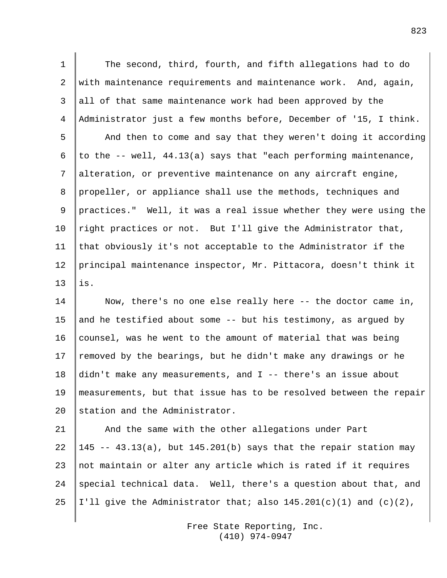1 The second, third, fourth, and fifth allegations had to do 2 with maintenance requirements and maintenance work. And, again, 3 all of that same maintenance work had been approved by the 4 Administrator just a few months before, December of '15, I think. 5 | And then to come and say that they weren't doing it according 6 to the  $-$  well, 44.13(a) says that "each performing maintenance, 7 alteration, or preventive maintenance on any aircraft engine, 8 | propeller, or appliance shall use the methods, techniques and 9 practices." Well, it was a real issue whether they were using the 10 | right practices or not. But I'll give the Administrator that, 11  $\|$  that obviously it's not acceptable to the Administrator if the 12 principal maintenance inspector, Mr. Pittacora, doesn't think it  $13$  lis.

14 Now, there's no one else really here -- the doctor came in, 15 and he testified about some  $-$  but his testimony, as argued by 16 counsel, was he went to the amount of material that was being 17 | removed by the bearings, but he didn't make any drawings or he 18 didn't make any measurements, and I -- there's an issue about 19 measurements, but that issue has to be resolved between the repair 20 Station and the Administrator.

21 And the same with the other allegations under Part 22  $\parallel$  145 -- 43.13(a), but 145.201(b) says that the repair station may 23 not maintain or alter any article which is rated if it requires 24 special technical data. Well, there's a question about that, and 25 | I'll give the Administrator that; also  $145.201(c)(1)$  and  $(c)(2)$ ,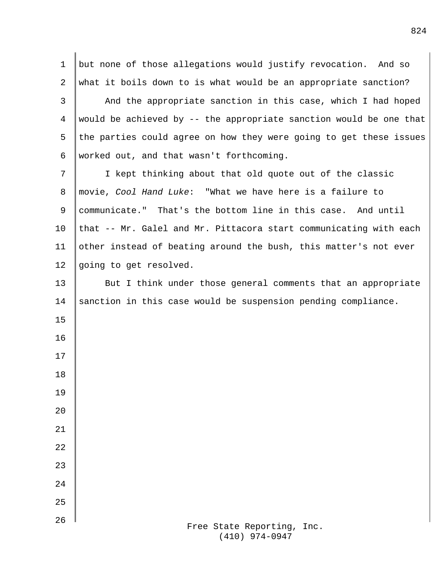| 1              | but none of those allegations would justify revocation. And so     |
|----------------|--------------------------------------------------------------------|
| 2              | what it boils down to is what would be an appropriate sanction?    |
| 3              | And the appropriate sanction in this case, which I had hoped       |
| $\overline{4}$ | would be achieved by -- the appropriate sanction would be one that |
| 5              | the parties could agree on how they were going to get these issues |
| 6              | worked out, and that wasn't forthcoming.                           |
| 7              | I kept thinking about that old quote out of the classic            |
| 8              | movie, Cool Hand Luke: "What we have here is a failure to          |
| 9              | communicate." That's the bottom line in this case. And until       |
| 10             | that -- Mr. Galel and Mr. Pittacora start communicating with each  |
| 11             | other instead of beating around the bush, this matter's not ever   |
| 12             | going to get resolved.                                             |
| 13             | But I think under those general comments that an appropriate       |
| 14             | sanction in this case would be suspension pending compliance.      |
| 15             |                                                                    |
| 16             |                                                                    |
| 17             |                                                                    |
| 18             |                                                                    |
| 19             |                                                                    |
| 20             |                                                                    |
| 21             |                                                                    |
| 22             |                                                                    |
| 23             |                                                                    |
| 24             |                                                                    |
| 25             |                                                                    |
| 26             | Free State Reporting, Inc.                                         |
|                | $(410)$ 974-0947                                                   |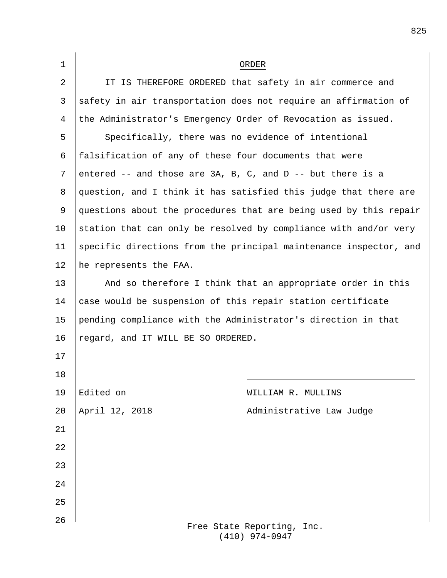| $\mathbf 1$ |                                                                | ORDER                                                             |  |
|-------------|----------------------------------------------------------------|-------------------------------------------------------------------|--|
| 2           |                                                                | IT IS THEREFORE ORDERED that safety in air commerce and           |  |
| 3           |                                                                | safety in air transportation does not require an affirmation of   |  |
| 4           | the Administrator's Emergency Order of Revocation as issued.   |                                                                   |  |
| 5           | Specifically, there was no evidence of intentional             |                                                                   |  |
| 6           | falsification of any of these four documents that were         |                                                                   |  |
| 7           | entered $--$ and those are 3A, B, C, and D $--$ but there is a |                                                                   |  |
| 8           |                                                                | question, and I think it has satisfied this judge that there are  |  |
| 9           |                                                                | questions about the procedures that are being used by this repair |  |
| 10          |                                                                | station that can only be resolved by compliance with and/or very  |  |
| 11          |                                                                | specific directions from the principal maintenance inspector, and |  |
| 12          | he represents the FAA.                                         |                                                                   |  |
| 13          | And so therefore I think that an appropriate order in this     |                                                                   |  |
| 14          | case would be suspension of this repair station certificate    |                                                                   |  |
| 15          | pending compliance with the Administrator's direction in that  |                                                                   |  |
| 16          | regard, and IT WILL BE SO ORDERED.                             |                                                                   |  |
| 17          |                                                                |                                                                   |  |
| 18          |                                                                |                                                                   |  |
| 19          | Edited on                                                      | WILLIAM R. MULLINS                                                |  |
| 20          | April 12, 2018                                                 | Administrative Law Judge                                          |  |
| 21          |                                                                |                                                                   |  |
| 22          |                                                                |                                                                   |  |
| 23          |                                                                |                                                                   |  |
| 24          |                                                                |                                                                   |  |
| 25          |                                                                |                                                                   |  |
| 26          |                                                                | Free State Reporting, Inc.                                        |  |

(410) 974-0947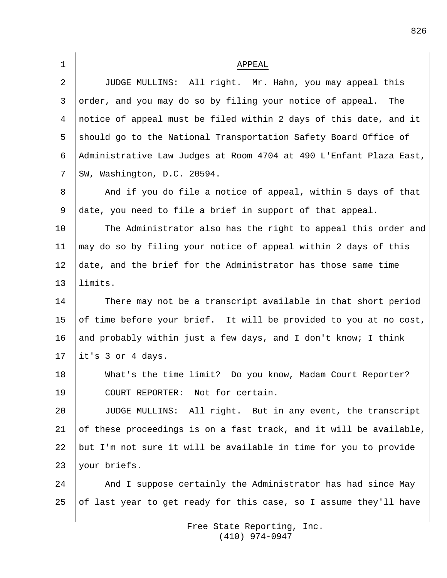| $\mathbf{1}$   | APPEAL                                                             |
|----------------|--------------------------------------------------------------------|
| $\overline{2}$ | JUDGE MULLINS: All right. Mr. Hahn, you may appeal this            |
| 3              | order, and you may do so by filing your notice of appeal.<br>The   |
| 4              | notice of appeal must be filed within 2 days of this date, and it  |
| 5              | should go to the National Transportation Safety Board Office of    |
| 6              | Administrative Law Judges at Room 4704 at 490 L'Enfant Plaza East, |
| 7              | SW, Washington, D.C. 20594.                                        |
| 8              | And if you do file a notice of appeal, within 5 days of that       |
| 9              | date, you need to file a brief in support of that appeal.          |
| 10             | The Administrator also has the right to appeal this order and      |
| 11             | may do so by filing your notice of appeal within 2 days of this    |
| 12             | date, and the brief for the Administrator has those same time      |
| 13             | limits.                                                            |
| 14             | There may not be a transcript available in that short period       |
| 15             | of time before your brief. It will be provided to you at no cost,  |
| 16             | and probably within just a few days, and I don't know; I think     |
| 17             | it's 3 or 4 days.                                                  |
| 18             | What's the time limit? Do you know, Madam Court Reporter?          |
| 19             | COURT REPORTER: Not for certain.                                   |
| 20             | JUDGE MULLINS: All right. But in any event, the transcript         |
| 21             | of these proceedings is on a fast track, and it will be available, |
| 22             | but I'm not sure it will be available in time for you to provide   |
| 23             | your briefs.                                                       |
| 24             | And I suppose certainly the Administrator has had since May        |
| 25             | of last year to get ready for this case, so I assume they'll have  |

Free State Reporting, Inc. (410) 974-0947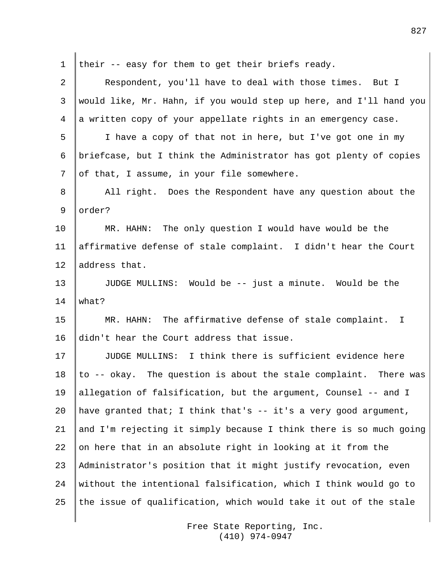| $\mathbf 1$     | their -- easy for them to get their briefs ready.                     |  |
|-----------------|-----------------------------------------------------------------------|--|
| $\overline{2}$  | Respondent, you'll have to deal with those times. But I               |  |
| 3               | would like, Mr. Hahn, if you would step up here, and I'll hand you    |  |
| 4               | a written copy of your appellate rights in an emergency case.         |  |
| 5               | I have a copy of that not in here, but I've got one in my             |  |
| 6               | briefcase, but I think the Administrator has got plenty of copies     |  |
| 7               | of that, I assume, in your file somewhere.                            |  |
| 8               | All right. Does the Respondent have any question about the            |  |
| 9               | order?                                                                |  |
| 10              | MR. HAHN: The only question I would have would be the                 |  |
| 11              | affirmative defense of stale complaint. I didn't hear the Court       |  |
| 12 <sub>2</sub> | address that.                                                         |  |
| 13              | JUDGE MULLINS: Would be -- just a minute. Would be the                |  |
| 14              | what?                                                                 |  |
| 15              | MR. HAHN: The affirmative defense of stale complaint.<br>$\mathbb{I}$ |  |
| 16              | didn't hear the Court address that issue.                             |  |
| 17              | JUDGE MULLINS: I think there is sufficient evidence here              |  |
| 18              | to -- okay. The question is about the stale complaint.<br>There was   |  |
| 19              | allegation of falsification, but the argument, Counsel -- and I       |  |
| 20              | have granted that; I think that's $-$ it's a very good argument,      |  |
| 21              | and I'm rejecting it simply because I think there is so much going    |  |
| 22              | on here that in an absolute right in looking at it from the           |  |
| 23              | Administrator's position that it might justify revocation, even       |  |
| 24              | without the intentional falsification, which I think would go to      |  |
| 25              | the issue of qualification, which would take it out of the stale      |  |
|                 |                                                                       |  |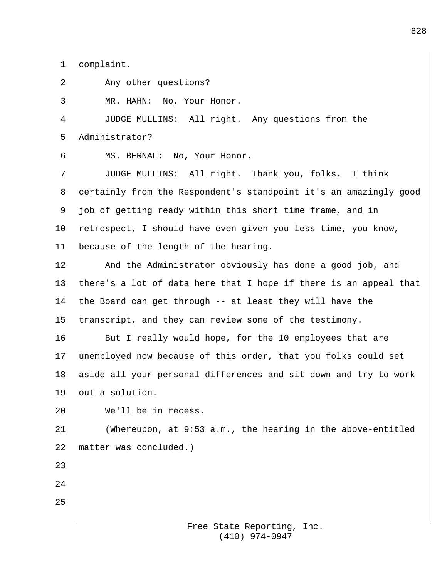1 | complaint.

2 Any other questions? 3 MR. HAHN: No, Your Honor. 4 JUDGE MULLINS: All right. Any questions from the 5 Administrator? 6 MS. BERNAL: No, Your Honor. 7 JUDGE MULLINS: All right. Thank you, folks. I think 8 certainly from the Respondent's standpoint it's an amazingly good 9  $\parallel$  job of getting ready within this short time frame, and in 10 | retrospect, I should have even given you less time, you know, 11 because of the length of the hearing. 12 And the Administrator obviously has done a good job, and 13 | there's a lot of data here that I hope if there is an appeal that 14 the Board can get through  $-$  at least they will have the 15  $\tt$  transcript, and they can review some of the testimony. 16 But I really would hope, for the 10 employees that are 17 unemployed now because of this order, that you folks could set 18 aside all your personal differences and sit down and try to work 19  $\vert$  out a solution. 20 We'll be in recess. 21 (Whereupon, at 9:53 a.m., the hearing in the above-entitled 22 | matter was concluded.) 23 24 25